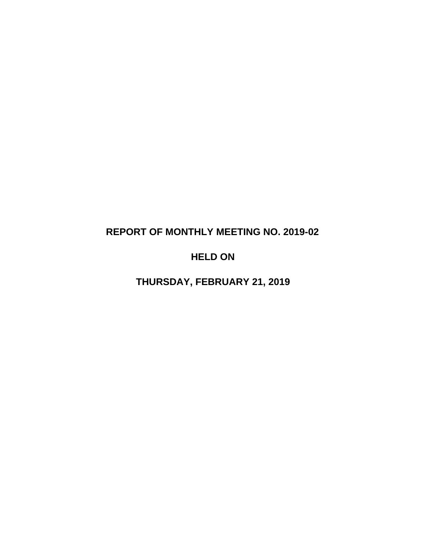# **REPORT OF MONTHLY MEETING NO. 2019-02**

# **HELD ON**

**THURSDAY, FEBRUARY 21, 2019**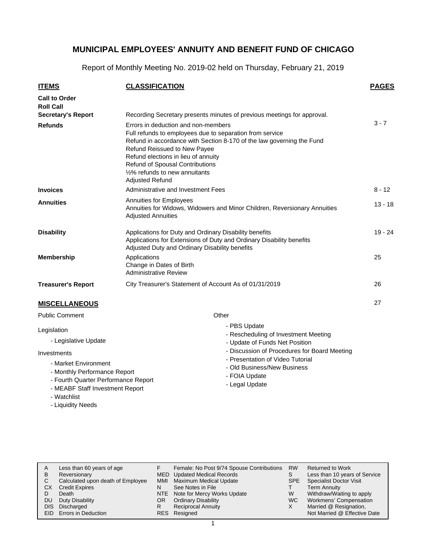Report of Monthly Meeting No. 2019-02 held on Thursday, February 21, 2019

| <b>ITEMS</b>                                           | <b>CLASSIFICATION</b>                                                                                                                                                                                                                                                                                                                                 | <b>PAGES</b> |  |  |  |  |
|--------------------------------------------------------|-------------------------------------------------------------------------------------------------------------------------------------------------------------------------------------------------------------------------------------------------------------------------------------------------------------------------------------------------------|--------------|--|--|--|--|
| <b>Call to Order</b><br><b>Roll Call</b>               |                                                                                                                                                                                                                                                                                                                                                       |              |  |  |  |  |
| <b>Secretary's Report</b>                              | Recording Secretary presents minutes of previous meetings for approval.                                                                                                                                                                                                                                                                               |              |  |  |  |  |
| <b>Refunds</b>                                         | Errors in deduction and non-members<br>Full refunds to employees due to separation from service<br>Refund in accordance with Section 8-170 of the law governing the Fund<br>Refund Reissued to New Payee<br>Refund elections in lieu of annuity<br><b>Refund of Spousal Contributions</b><br>1/2% refunds to new annuitants<br><b>Adjusted Refund</b> |              |  |  |  |  |
| <b>Invoices</b>                                        | Administrative and Investment Fees                                                                                                                                                                                                                                                                                                                    | $8 - 12$     |  |  |  |  |
| <b>Annuities</b>                                       | <b>Annuities for Employees</b><br>Annuities for Widows, Widowers and Minor Children, Reversionary Annuities<br><b>Adjusted Annuities</b>                                                                                                                                                                                                              |              |  |  |  |  |
| <b>Disability</b>                                      | Applications for Duty and Ordinary Disability benefits<br>Applications for Extensions of Duty and Ordinary Disability benefits<br>Adjusted Duty and Ordinary Disability benefits                                                                                                                                                                      |              |  |  |  |  |
| <b>Membership</b>                                      | Applications<br>Change in Dates of Birth<br><b>Administrative Review</b>                                                                                                                                                                                                                                                                              | 25           |  |  |  |  |
| <b>Treasurer's Report</b>                              | City Treasurer's Statement of Account As of 01/31/2019                                                                                                                                                                                                                                                                                                | 26           |  |  |  |  |
| <b>MISCELLANEOUS</b>                                   |                                                                                                                                                                                                                                                                                                                                                       | 27           |  |  |  |  |
| <b>Public Comment</b>                                  | Other                                                                                                                                                                                                                                                                                                                                                 |              |  |  |  |  |
| Legislation<br>- Legislative Update<br>Investments     | - PBS Update<br>- Rescheduling of Investment Meeting<br>- Update of Funds Net Position<br>- Discussion of Procedures for Board Meeting                                                                                                                                                                                                                |              |  |  |  |  |
| - Market Environment<br>March 1.1. $D = A$ and $A = A$ | - Presentation of Video Tutorial<br>- Old Business/New Business                                                                                                                                                                                                                                                                                       |              |  |  |  |  |

- Monthly Performance Report
- Fourth Quarter Performance Report
- MEABF Staff Investment Report
- Watchlist
- Liquidity Needs
- FOIA Update
- Legal Update

Less than 60 years of age Reversionary Calculated upon death of Employee Credit Expires Death DU Duty Disability DIS Discharged EID Errors in Deduction Returned to Work Less than 10 years of Service Specialist Doctor Visit Term Annuity Withdraw/Waiting to apply Workmens' Compensation Married @ Resignation, Not Married @ Effective Date A B C CX D RW S SPE T W WC X Female: No Post 9/74 Spouse Contributions MED Updated Medical Records Maximum Medical Update See Notes in File NTE Note for Mercy Works Update Ordinary Disability Reciprocal Annuity Resigned RESF MMI N OR R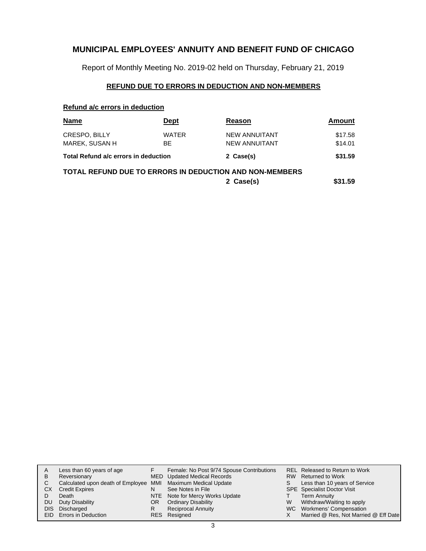Report of Monthly Meeting No. 2019-02 held on Thursday, February 21, 2019

### **REFUND DUE TO ERRORS IN DEDUCTION AND NON-MEMBERS**

#### **Refund a/c errors in deduction**

| Name                                                           | Dept               | Reason                                       | Amount             |  |  |  |  |  |
|----------------------------------------------------------------|--------------------|----------------------------------------------|--------------------|--|--|--|--|--|
| <b>CRESPO, BILLY</b><br>MAREK, SUSAN H                         | <b>WATER</b><br>BE | <b>NEW ANNUITANT</b><br><b>NEW ANNUITANT</b> | \$17.58<br>\$14.01 |  |  |  |  |  |
| Total Refund a/c errors in deduction                           |                    | 2 Case(s)                                    | \$31.59            |  |  |  |  |  |
| <b>TOTAL REFUND DUE TO ERRORS IN DEDUCTION AND NON-MEMBERS</b> |                    |                                              |                    |  |  |  |  |  |
| 2 Case(s)                                                      |                    |                                              |                    |  |  |  |  |  |

| A         | Less than 60 years of age                                    |     | Female: No Post 9/74 Spouse Contributions |   | <b>REL Released to Return to Work</b> |
|-----------|--------------------------------------------------------------|-----|-------------------------------------------|---|---------------------------------------|
| B         | Reversionary                                                 |     | MED Updated Medical Records               |   | RW Returned to Work                   |
|           | Calculated upon death of Employee MMI Maximum Medical Update |     |                                           |   | Less than 10 years of Service         |
| <b>CX</b> | <b>Credit Expires</b>                                        | N   | See Notes in File                         |   | <b>SPE</b> Specialist Doctor Visit    |
|           | Death                                                        |     | NTE Note for Mercy Works Update           |   | <b>Term Annuity</b>                   |
| DU.       | Duty Disability                                              | OR. | <b>Ordinary Disability</b>                | W | Withdraw/Waiting to apply             |
|           | DIS Discharged                                               | R   | <b>Reciprocal Annuity</b>                 |   | WC Workmens' Compensation             |
|           | EID Errors in Deduction                                      |     | RES Resigned                              |   | Married @ Res, Not Married @ Eff Date |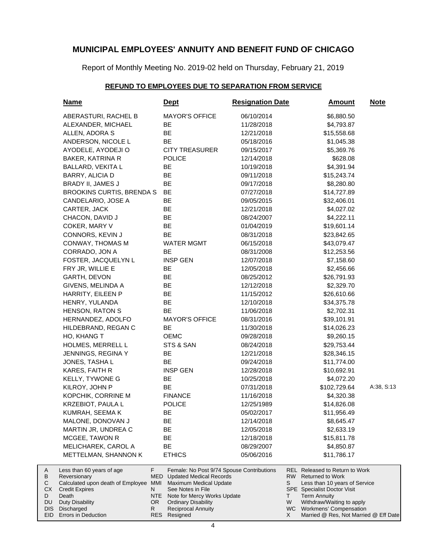Report of Monthly Meeting No. 2019-02 held on Thursday, February 21, 2019

### **REFUND TO EMPLOYEES DUE TO SEPARATION FROM SERVICE**

|                                     | <u>Name</u>                                                                                                                                                  |                                   | <u>Dept</u>                                                                                                                                                                                                          | <b>Resignation Date</b> |    | <u>Amount</u>                                                                                                                                                                                                            | <b>Note</b> |
|-------------------------------------|--------------------------------------------------------------------------------------------------------------------------------------------------------------|-----------------------------------|----------------------------------------------------------------------------------------------------------------------------------------------------------------------------------------------------------------------|-------------------------|----|--------------------------------------------------------------------------------------------------------------------------------------------------------------------------------------------------------------------------|-------------|
|                                     | ABERASTURI, RACHEL B                                                                                                                                         |                                   | <b>MAYOR'S OFFICE</b>                                                                                                                                                                                                | 06/10/2014              |    | \$6,880.50                                                                                                                                                                                                               |             |
|                                     | ALEXANDER, MICHAEL                                                                                                                                           |                                   | BE                                                                                                                                                                                                                   | 11/28/2018              |    | \$4,793.87                                                                                                                                                                                                               |             |
|                                     | ALLEN, ADORA S                                                                                                                                               |                                   | BE                                                                                                                                                                                                                   | 12/21/2018              |    | \$15,558.68                                                                                                                                                                                                              |             |
|                                     | ANDERSON, NICOLE L                                                                                                                                           |                                   | <b>BE</b>                                                                                                                                                                                                            | 05/18/2016              |    | \$1,045.38                                                                                                                                                                                                               |             |
|                                     | AYODELE, AYODEJI O                                                                                                                                           |                                   | <b>CITY TREASURER</b>                                                                                                                                                                                                | 09/15/2017              |    | \$5,369.76                                                                                                                                                                                                               |             |
|                                     | BAKER, KATRINA R                                                                                                                                             |                                   | <b>POLICE</b>                                                                                                                                                                                                        | 12/14/2018              |    | \$628.08                                                                                                                                                                                                                 |             |
|                                     | <b>BALLARD, VEKITA L</b>                                                                                                                                     |                                   | BE                                                                                                                                                                                                                   | 10/19/2018              |    | \$4,391.94                                                                                                                                                                                                               |             |
|                                     | BARRY, ALICIA D                                                                                                                                              |                                   | BE                                                                                                                                                                                                                   | 09/11/2018              |    | \$15,243.74                                                                                                                                                                                                              |             |
|                                     | BRADY II, JAMES J                                                                                                                                            |                                   | BE                                                                                                                                                                                                                   | 09/17/2018              |    | \$8,280.80                                                                                                                                                                                                               |             |
|                                     | <b>BROOKINS CURTIS, BRENDA S</b>                                                                                                                             |                                   | BE                                                                                                                                                                                                                   | 07/27/2018              |    | \$14,727.89                                                                                                                                                                                                              |             |
|                                     | CANDELARIO, JOSE A                                                                                                                                           |                                   | BE                                                                                                                                                                                                                   | 09/05/2015              |    | \$32,406.01                                                                                                                                                                                                              |             |
|                                     | CARTER, JACK                                                                                                                                                 |                                   | BE                                                                                                                                                                                                                   | 12/21/2018              |    | \$4,027.02                                                                                                                                                                                                               |             |
|                                     | CHACON, DAVID J                                                                                                                                              |                                   | BE                                                                                                                                                                                                                   | 08/24/2007              |    | \$4,222.11                                                                                                                                                                                                               |             |
|                                     | COKER, MARY V                                                                                                                                                |                                   | BE                                                                                                                                                                                                                   | 01/04/2019              |    | \$19,601.14                                                                                                                                                                                                              |             |
|                                     | CONNORS, KEVIN J                                                                                                                                             |                                   | BE                                                                                                                                                                                                                   | 08/31/2018              |    | \$23,842.65                                                                                                                                                                                                              |             |
|                                     | CONWAY, THOMAS M                                                                                                                                             |                                   | <b>WATER MGMT</b>                                                                                                                                                                                                    | 06/15/2018              |    | \$43,079.47                                                                                                                                                                                                              |             |
|                                     | CORRADO, JON A                                                                                                                                               |                                   | BE                                                                                                                                                                                                                   | 08/31/2008              |    | \$12,253.56                                                                                                                                                                                                              |             |
|                                     | FOSTER, JACQUELYN L                                                                                                                                          |                                   | <b>INSP GEN</b>                                                                                                                                                                                                      | 12/07/2018              |    | \$7,158.60                                                                                                                                                                                                               |             |
|                                     | FRY JR, WILLIE E                                                                                                                                             |                                   | BE                                                                                                                                                                                                                   | 12/05/2018              |    | \$2,456.66                                                                                                                                                                                                               |             |
|                                     |                                                                                                                                                              |                                   | <b>BE</b>                                                                                                                                                                                                            |                         |    |                                                                                                                                                                                                                          |             |
|                                     | GARTH, DEVON                                                                                                                                                 |                                   | <b>BE</b>                                                                                                                                                                                                            | 08/25/2012              |    | \$26,791.93                                                                                                                                                                                                              |             |
|                                     | GIVENS, MELINDA A                                                                                                                                            |                                   |                                                                                                                                                                                                                      | 12/12/2018              |    | \$2,329.70                                                                                                                                                                                                               |             |
|                                     | HARRITY, EILEEN P                                                                                                                                            |                                   | BE                                                                                                                                                                                                                   | 11/15/2012              |    | \$26,610.66                                                                                                                                                                                                              |             |
|                                     | HENRY, YULANDA                                                                                                                                               |                                   | BE                                                                                                                                                                                                                   | 12/10/2018              |    | \$34,375.78                                                                                                                                                                                                              |             |
|                                     | <b>HENSON, RATON S</b>                                                                                                                                       |                                   | BE                                                                                                                                                                                                                   | 11/06/2018              |    | \$2,702.31                                                                                                                                                                                                               |             |
|                                     | HERNANDEZ, ADOLFO                                                                                                                                            |                                   | <b>MAYOR'S OFFICE</b>                                                                                                                                                                                                | 08/31/2016              |    | \$39,101.91                                                                                                                                                                                                              |             |
|                                     | HILDEBRAND, REGAN C                                                                                                                                          |                                   | BE                                                                                                                                                                                                                   | 11/30/2018              |    | \$14,026.23                                                                                                                                                                                                              |             |
|                                     | HO, KHANG T                                                                                                                                                  |                                   | <b>OEMC</b>                                                                                                                                                                                                          | 09/28/2018              |    | \$9,260.15                                                                                                                                                                                                               |             |
|                                     | HOLMES, MERRELL L                                                                                                                                            |                                   | STS & SAN                                                                                                                                                                                                            | 08/24/2018              |    | \$29,753.44                                                                                                                                                                                                              |             |
|                                     | JENNINGS, REGINA Y                                                                                                                                           |                                   | BE                                                                                                                                                                                                                   | 12/21/2018              |    | \$28,346.15                                                                                                                                                                                                              |             |
|                                     | JONES, TASHA L                                                                                                                                               |                                   | <b>BE</b>                                                                                                                                                                                                            | 09/24/2018              |    | \$11,774.00                                                                                                                                                                                                              |             |
|                                     | KARES, FAITH R                                                                                                                                               |                                   | <b>INSP GEN</b>                                                                                                                                                                                                      | 12/28/2018              |    | \$10,692.91                                                                                                                                                                                                              |             |
|                                     | KELLY, TYWONE G                                                                                                                                              |                                   | BE                                                                                                                                                                                                                   | 10/25/2018              |    | \$4,072.20                                                                                                                                                                                                               |             |
|                                     | KILROY, JOHN P                                                                                                                                               |                                   | BE                                                                                                                                                                                                                   | 07/31/2018              |    | \$102,729.64                                                                                                                                                                                                             | A:38, S:13  |
|                                     | KOPCHIK, CORRINE M                                                                                                                                           |                                   | <b>FINANCE</b>                                                                                                                                                                                                       | 11/16/2018              |    | \$4,320.38                                                                                                                                                                                                               |             |
|                                     | <b>KRZEBIOT, PAULA L</b>                                                                                                                                     |                                   | <b>POLICE</b>                                                                                                                                                                                                        | 12/25/1989              |    | \$14,826.08                                                                                                                                                                                                              |             |
|                                     | KUMRAH, SEEMA K                                                                                                                                              |                                   | ВE                                                                                                                                                                                                                   | 05/02/2017              |    | \$11,956.49                                                                                                                                                                                                              |             |
|                                     | MALONE, DONOVAN J                                                                                                                                            |                                   | BЕ                                                                                                                                                                                                                   | 12/14/2018              |    | \$8,645.47                                                                                                                                                                                                               |             |
|                                     | MARTIN JR, UNDREA C                                                                                                                                          |                                   | BЕ                                                                                                                                                                                                                   | 12/05/2018              |    | \$2,633.19                                                                                                                                                                                                               |             |
|                                     | MCGEE, TAWON R                                                                                                                                               |                                   | BЕ                                                                                                                                                                                                                   | 12/18/2018              |    | \$15,811.78                                                                                                                                                                                                              |             |
|                                     | MELICHAREK, CAROL A                                                                                                                                          |                                   | BE                                                                                                                                                                                                                   | 08/29/2007              |    | \$4,850.87                                                                                                                                                                                                               |             |
|                                     | METTELMAN, SHANNON K                                                                                                                                         |                                   | <b>ETHICS</b>                                                                                                                                                                                                        | 05/06/2016              |    | \$11,786.17                                                                                                                                                                                                              |             |
| A<br>В<br>С<br>СX<br>D<br>DU<br>DIS | Less than 60 years of age<br>Reversionary<br>Calculated upon death of Employee MMI<br><b>Credit Expires</b><br>Death<br><b>Duty Disability</b><br>Discharged | F.<br>MED<br>N<br>NTE<br>OR.<br>R | Female: No Post 9/74 Spouse Contributions<br><b>Updated Medical Records</b><br>Maximum Medical Update<br>See Notes in File<br>Note for Mercy Works Update<br><b>Ordinary Disability</b><br><b>Reciprocal Annuity</b> |                         |    | <b>REL Released to Return to Work</b><br><b>Returned to Work</b><br>Less than 10 years of Service<br><b>SPE</b> Specialist Doctor Visit<br><b>Term Annuity</b><br>Withdraw/Waiting to apply<br>WC Workmens' Compensation |             |
| EID                                 | Errors in Deduction                                                                                                                                          | <b>RES</b>                        | Resigned                                                                                                                                                                                                             |                         | X. | Married @ Res, Not Married @ Eff Date                                                                                                                                                                                    |             |

A B C CX D DU DIS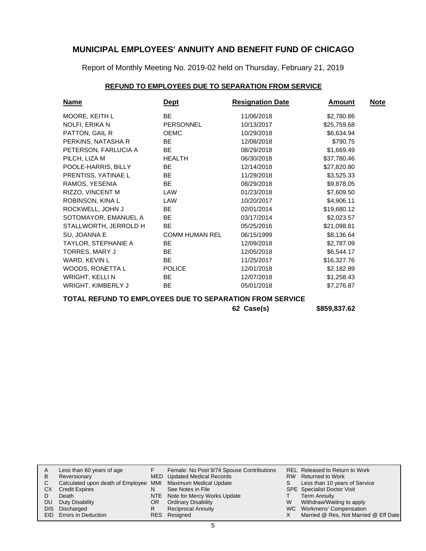Report of Monthly Meeting No. 2019-02 held on Thursday, February 21, 2019

### **REFUND TO EMPLOYEES DUE TO SEPARATION FROM SERVICE**

| <u>Name</u>               | <u>Dept</u>           | <b>Resignation Date</b> | <u>Amount</u> | <b>Note</b> |
|---------------------------|-----------------------|-------------------------|---------------|-------------|
| MOORE, KEITH L            | <b>BE</b>             | 11/06/2018              | \$2,780.86    |             |
| NOLFI, ERIKA N            | <b>PERSONNEL</b>      | 10/13/2017              | \$25,759.68   |             |
| PATTON, GAIL R            | <b>OEMC</b>           | 10/29/2018              | \$6,634.94    |             |
| PERKINS, NATASHA R        | BE.                   | 12/08/2018              | \$790.75      |             |
| PETERSON, FARLUCIA A      | BE.                   | 08/29/2018              | \$1,669.49    |             |
| PILCH, LIZA M             | <b>HEALTH</b>         | 06/30/2018              | \$37,780.46   |             |
| POOLE-HARRIS, BILLY       | BE.                   | 12/14/2018              | \$27,820.80   |             |
| PRENTISS, YATINAE L       | BE.                   | 11/29/2018              | \$3,525.33    |             |
| RAMOS, YESENIA            | <b>BE</b>             | 08/29/2018              | \$9,878.05    |             |
| RIZZO, VINCENT M          | LAW                   | 01/23/2018              | \$7,609.50    |             |
| ROBINSON, KINA L          | LAW                   | 10/20/2017              | \$4,906.11    |             |
| ROCKWELL, JOHN J          | BE.                   | 02/01/2014              | \$19,680.12   |             |
| SOTOMAYOR, EMANUEL A      | <b>BE</b>             | 03/17/2014              | \$2,023.57    |             |
| STALLWORTH, JERROLD H     | BE                    | 05/25/2016              | \$21,098.81   |             |
| SU, JOANNA E              | <b>COMM HUMAN REL</b> | 06/15/1999              | \$8,136.64    |             |
| TAYLOR, STEPHANIE A       | BE.                   | 12/09/2018              | \$2,787.09    |             |
| TORRES, MARY J            | BE                    | 12/05/2018              | \$6,544.17    |             |
| WARD, KEVIN L             | BE.                   | 11/25/2017              | \$16,327.76   |             |
| WOODS, RONETTA L          | <b>POLICE</b>         | 12/01/2018              | \$2,182.89    |             |
| <b>WRIGHT, KELLI N</b>    | BE.                   | 12/07/2018              | \$1,258.43    |             |
| <b>WRIGHT, KIMBERLY J</b> | BE.                   | 05/01/2018              | \$7,276.87    |             |

**TOTAL REFUND TO EMPLOYEES DUE TO SEPARATION FROM SERVICE**

**62 Case(s) \$859,837.62**

|           | Less than 60 years of age                                    |     | Female: No Post 9/74 Spouse Contributions |    | REL Released to Return to Work        |
|-----------|--------------------------------------------------------------|-----|-------------------------------------------|----|---------------------------------------|
| B         | Reversionary                                                 |     | MED Updated Medical Records               |    | RW Returned to Work                   |
|           | Calculated upon death of Employee MMI Maximum Medical Update |     |                                           | S. | Less than 10 years of Service         |
| <b>CX</b> | <b>Credit Expires</b>                                        |     | See Notes in File                         |    | <b>SPE</b> Specialist Doctor Visit    |
|           | Death                                                        |     | NTE Note for Mercy Works Update           |    | <b>Term Annuity</b>                   |
| DU        | Duty Disability                                              | OR. | <b>Ordinary Disability</b>                | W  | Withdraw/Waiting to apply             |
|           | DIS Discharged                                               |     | <b>Reciprocal Annuity</b>                 |    | WC Workmens' Compensation             |
|           | EID Errors in Deduction                                      |     | RES Resigned                              |    | Married @ Res, Not Married @ Eff Date |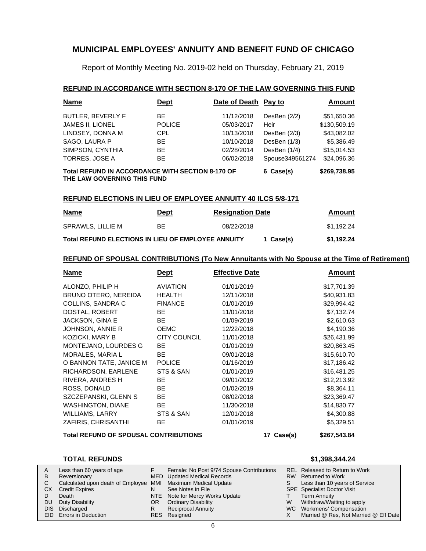Report of Monthly Meeting No. 2019-02 held on Thursday, February 21, 2019

#### **REFUND IN ACCORDANCE WITH SECTION 8-170 OF THE LAW GOVERNING THIS FUND**

| <b>Name</b>                                                                     | <u>Dept</u>   | Date of Death Pay to |                 | <b>Amount</b> |
|---------------------------------------------------------------------------------|---------------|----------------------|-----------------|---------------|
| <b>BUTLER, BEVERLY F</b>                                                        | ВE            | 11/12/2018           | DesBen (2/2)    | \$51,650.36   |
| JAMES II, LIONEL                                                                | <b>POLICE</b> | 05/03/2017           | Heir            | \$130,509.19  |
| LINDSEY, DONNA M                                                                | CPL.          | 10/13/2018           | DesBen (2/3)    | \$43,082.02   |
| SAGO, LAURA P                                                                   | ВE            | 10/10/2018           | DesBen (1/3)    | \$5,386.49    |
| SIMPSON, CYNTHIA                                                                | BE            | 02/28/2014           | DesBen (1/4)    | \$15,014.53   |
| TORRES, JOSE A                                                                  | BE            | 06/02/2018           | Spouse349561274 | \$24,096.36   |
| Total REFUND IN ACCORDANCE WITH SECTION 8-170 OF<br>THE LAW GOVERNING THIS FUND | 6 Case(s)     | \$269,738.95         |                 |               |

#### **REFUND ELECTIONS IN LIEU OF EMPLOYEE ANNUITY 40 ILCS 5/8-171**

| <b>Name</b>                                               | Dept | <b>Resignation Date</b> |           | Amount     |
|-----------------------------------------------------------|------|-------------------------|-----------|------------|
| SPRAWLS, LILLIE M                                         | BE.  | 08/22/2018              |           | \$1.192.24 |
| <b>Total REFUND ELECTIONS IN LIEU OF EMPLOYEE ANNUITY</b> |      |                         | 1 Case(s) | \$1,192.24 |

#### **REFUND OF SPOUSAL CONTRIBUTIONS (To New Annuitants with No Spouse at the Time of Retirement)**

| <u>Name</u>                                  | <u>Dept</u>         | <b>Effective Date</b> |  | <u>Amount</u> |
|----------------------------------------------|---------------------|-----------------------|--|---------------|
| ALONZO, PHILIP H                             | <b>AVIATION</b>     | 01/01/2019            |  | \$17,701.39   |
| BRUNO OTERO, NEREIDA                         | <b>HEALTH</b>       | 12/11/2018            |  | \$40,931.83   |
| COLLINS, SANDRA C                            | <b>FINANCE</b>      | 01/01/2019            |  | \$29,994.42   |
| DOSTAL, ROBERT                               | <b>BE</b>           | 11/01/2018            |  | \$7,132.74    |
| JACKSON, GINA E                              | BE.                 | 01/09/2019            |  | \$2,610.63    |
| JOHNSON, ANNIE R                             | <b>OEMC</b>         | 12/22/2018            |  | \$4,190.36    |
| KOZICKI, MARY B                              | <b>CITY COUNCIL</b> | 11/01/2018            |  | \$26,431.99   |
| MONTEJANO, LOURDES G                         | <b>BE</b>           | 01/01/2019            |  | \$20,863.45   |
| <b>MORALES, MARIA L</b>                      | BE.                 | 09/01/2018            |  | \$15,610.70   |
| O BANNON TATE, JANICE M                      | <b>POLICE</b>       | 01/16/2019            |  | \$17,186.42   |
| RICHARDSON, EARLENE                          | STS & SAN           | 01/01/2019            |  | \$16,481.25   |
| RIVERA, ANDRES H                             | BE.                 | 09/01/2012            |  | \$12,213.92   |
| ROSS, DONALD                                 | BE.                 | 01/02/2019            |  | \$8,364.11    |
| SZCZEPANSKI, GLENN S                         | <b>BE</b>           | 08/02/2018            |  | \$23,369.47   |
| <b>WASHINGTON, DIANE</b>                     | BE.                 | 11/30/2018            |  | \$14,830.77   |
| WILLIAMS, LARRY                              | STS & SAN           | 12/01/2018            |  | \$4,300.88    |
| ZAFIRIS, CHRISANTHI                          | <b>BE</b>           | 01/01/2019            |  | \$5,329.51    |
| <b>Total REFUND OF SPOUSAL CONTRIBUTIONS</b> | 17 Case(s)          | \$267,543.84          |  |               |

#### **TOTAL REFUNDS \$1,398,344.24**

#### Less than 60 years of age **Reversionary** Calculated upon death of Employee MMI Maximum Medical Update CX Credit Expires Death DU Duty Disability DIS Discharged EID Errors in Deduction Released to Return to Work REL RW Returned to Work Less than 10 years of Service SPE Specialist Doctor Visit Term Annuity W Withdraw/Waiting to apply WC Workmens' Compensation X Married @ Res, Not Married @ Eff Date A B C D S T Female: No Post 9/74 Spouse Contributions MED Updated Medical Records See Notes in File NTE Note for Mercy Works Update OR Ordinary Disability Reciprocal Annuity Resigned RESF N R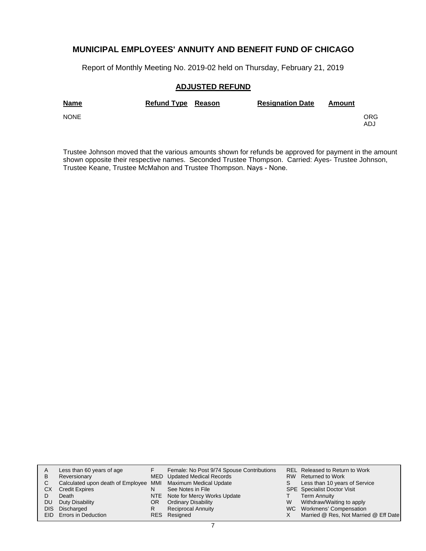Report of Monthly Meeting No. 2019-02 held on Thursday, February 21, 2019

#### **ADJUSTED REFUND**

| <b>Name</b> | <b>Refund Type Reason</b> | <b>Resignation Date</b> | Amount |            |
|-------------|---------------------------|-------------------------|--------|------------|
| <b>NONE</b> |                           |                         |        | ORG<br>ADJ |

Trustee Johnson moved that the various amounts shown for refunds be approved for payment in the amount shown opposite their respective names. Seconded Trustee Thompson. Carried: Ayes- Trustee Johnson, Trustee Keane, Trustee McMahon and Trustee Thompson. Nays - None.

| A         | Less than 60 years of age                                    |    | Female: No Post 9/74 Spouse Contributions |   | REL Released to Return to Work        |
|-----------|--------------------------------------------------------------|----|-------------------------------------------|---|---------------------------------------|
| B         | Reversionary                                                 |    | <b>MED</b> Updated Medical Records        |   | RW Returned to Work                   |
|           | Calculated upon death of Employee MMI Maximum Medical Update |    |                                           |   | Less than 10 years of Service         |
| СX        | <b>Credit Expires</b>                                        | N  | See Notes in File                         |   | <b>SPE</b> Specialist Doctor Visit    |
|           | Death                                                        |    | NTE Note for Mercy Works Update           |   | <b>Term Annuity</b>                   |
| <b>DU</b> | Duty Disability                                              | OR | <b>Ordinary Disability</b>                | W | Withdraw/Waiting to apply             |
| DIS.      | Discharged                                                   | R  | <b>Reciprocal Annuity</b>                 |   | WC Workmens' Compensation             |
|           | EID Errors in Deduction                                      |    | RES Resigned                              |   | Married @ Res, Not Married @ Eff Date |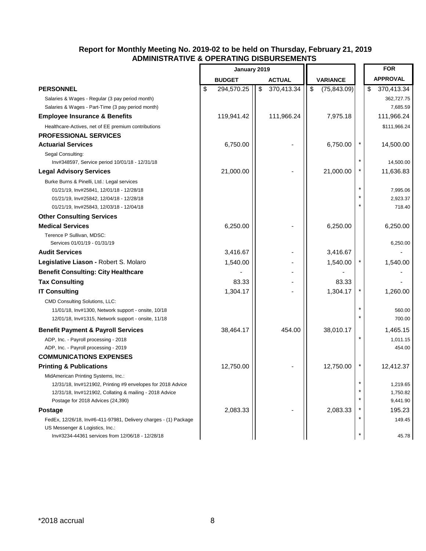|                                                                                                                                                               | January 2019     |    |               |                 |              |  | <b>FOR</b>             |
|---------------------------------------------------------------------------------------------------------------------------------------------------------------|------------------|----|---------------|-----------------|--------------|--|------------------------|
|                                                                                                                                                               | <b>BUDGET</b>    |    | <b>ACTUAL</b> | <b>VARIANCE</b> |              |  | <b>APPROVAL</b>        |
| <b>PERSONNEL</b>                                                                                                                                              | \$<br>294,570.25 | \$ | 370,413.34    | \$              | (75, 843.09) |  | \$<br>370,413.34       |
| Salaries & Wages - Regular (3 pay period month)<br>Salaries & Wages - Part-Time (3 pay period month)                                                          |                  |    |               |                 |              |  | 362,727.75<br>7,685.59 |
| <b>Employee Insurance &amp; Benefits</b>                                                                                                                      | 119,941.42       |    | 111,966.24    |                 | 7,975.18     |  | 111,966.24             |
| Healthcare-Actives, net of EE premium contributions                                                                                                           |                  |    |               |                 |              |  | \$111,966.24           |
| <b>PROFESSIONAL SERVICES</b>                                                                                                                                  |                  |    |               |                 |              |  |                        |
| <b>Actuarial Services</b>                                                                                                                                     | 6,750.00         |    |               |                 | 6,750.00     |  | 14,500.00              |
| Segal Consulting:<br>Inv#348597, Service period 10/01/18 - 12/31/18                                                                                           |                  |    |               |                 |              |  | 14,500.00              |
| <b>Legal Advisory Services</b>                                                                                                                                | 21,000.00        |    |               |                 | 21,000.00    |  | 11,636.83              |
| Burke Burns & Pinelli, Ltd.: Legal services<br>01/21/19, Inv#25841, 12/01/18 - 12/28/18<br>01/21/19, Inv#25842, 12/04/18 - 12/28/18                           |                  |    |               |                 |              |  | 7,995.06<br>2,923.37   |
| 01/21/19, Inv#25843, 12/03/18 - 12/04/18                                                                                                                      |                  |    |               |                 |              |  | 718.40                 |
| <b>Other Consulting Services</b>                                                                                                                              |                  |    |               |                 |              |  |                        |
| <b>Medical Services</b><br>Terence P Sullivan, MDSC:                                                                                                          | 6,250.00         |    |               |                 | 6,250.00     |  | 6,250.00               |
| Services 01/01/19 - 01/31/19                                                                                                                                  |                  |    |               |                 |              |  | 6,250.00               |
| <b>Audit Services</b>                                                                                                                                         | 3,416.67         |    |               |                 | 3,416.67     |  |                        |
| Legislative Liason - Robert S. Molaro                                                                                                                         | 1,540.00         |    |               |                 | 1,540.00     |  | 1,540.00               |
| <b>Benefit Consulting: City Healthcare</b>                                                                                                                    |                  |    |               |                 |              |  |                        |
| <b>Tax Consulting</b>                                                                                                                                         | 83.33            |    |               |                 | 83.33        |  |                        |
| <b>IT Consulting</b>                                                                                                                                          | 1,304.17         |    |               |                 | 1,304.17     |  | 1,260.00               |
| <b>CMD Consulting Solutions, LLC:</b><br>11/01/18, Inv#1300, Network support - onsite, 10/18<br>12/01/18, Inv#1315, Network support - onsite, 11/18           |                  |    |               |                 |              |  | 560.00<br>700.00       |
| <b>Benefit Payment &amp; Payroll Services</b>                                                                                                                 | 38,464.17        |    | 454.00        |                 | 38,010.17    |  | 1,465.15               |
| ADP, Inc. - Payroll processing - 2018<br>ADP, Inc. - Payroll processing - 2019                                                                                |                  |    |               |                 |              |  | 1,011.15<br>454.00     |
| <b>COMMUNICATIONS EXPENSES</b>                                                                                                                                |                  |    |               |                 |              |  |                        |
| <b>Printing &amp; Publications</b>                                                                                                                            | 12,750.00        |    |               |                 | 12,750.00    |  | 12,412.37              |
| MidAmerican Printing Systems, Inc.:<br>12/31/18, Inv#121902, Printing #9 envelopes for 2018 Advice<br>12/31/18, Inv#121902, Collating & mailing - 2018 Advice |                  |    |               |                 |              |  | 1,219.65<br>1,750.82   |
| Postage for 2018 Advices (24,390)                                                                                                                             |                  |    |               |                 |              |  | 9,441.90               |
| <b>Postage</b>                                                                                                                                                | 2,083.33         |    |               |                 | 2,083.33     |  | 195.23                 |
| FedEx, 12/26/18, Inv#6-411-97981, Delivery charges - (1) Package<br>US Messenger & Logistics, Inc.:<br>Inv#3234-44361 services from 12/06/18 - 12/28/18       |                  |    |               |                 |              |  | 149.45<br>45.78        |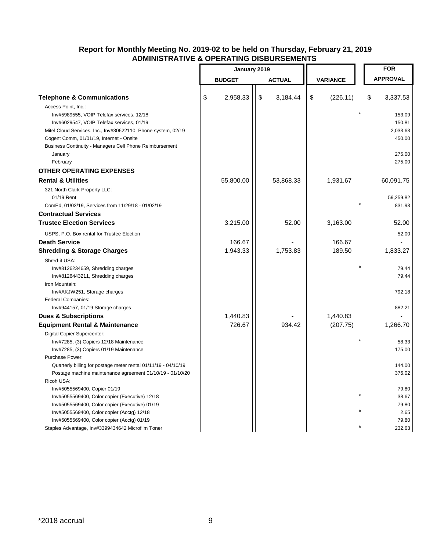|                                                                | January 2019 |               |    |               |                 | <b>FOR</b> |                 |
|----------------------------------------------------------------|--------------|---------------|----|---------------|-----------------|------------|-----------------|
|                                                                |              | <b>BUDGET</b> |    | <b>ACTUAL</b> | <b>VARIANCE</b> |            | <b>APPROVAL</b> |
|                                                                |              |               |    |               |                 |            |                 |
| <b>Telephone &amp; Communications</b>                          | \$           | 2,958.33      | \$ | 3,184.44      | \$<br>(226.11)  |            | \$<br>3,337.53  |
| Access Point, Inc.:                                            |              |               |    |               |                 |            |                 |
| Inv#5989555, VOIP Telefax services, 12/18                      |              |               |    |               |                 | $\star$    | 153.09          |
| Inv#6029547, VOIP Telefax services, 01/19                      |              |               |    |               |                 |            | 150.81          |
| Mitel Cloud Services, Inc., Inv#30622110, Phone system, 02/19  |              |               |    |               |                 |            | 2,033.63        |
| Cogent Comm, 01/01/19, Internet - Onsite                       |              |               |    |               |                 |            | 450.00          |
| Business Continuity - Managers Cell Phone Reimbursement        |              |               |    |               |                 |            |                 |
| January                                                        |              |               |    |               |                 |            | 275.00          |
| February                                                       |              |               |    |               |                 |            | 275.00          |
| <b>OTHER OPERATING EXPENSES</b>                                |              |               |    |               |                 |            |                 |
| <b>Rental &amp; Utilities</b>                                  |              | 55,800.00     |    | 53,868.33     | 1,931.67        |            | 60,091.75       |
| 321 North Clark Property LLC:                                  |              |               |    |               |                 |            |                 |
| 01/19 Rent                                                     |              |               |    |               |                 |            | 59,259.82       |
| ComEd, 01/03/19, Services from 11/29/18 - 01/02/19             |              |               |    |               |                 |            | 831.93          |
| <b>Contractual Services</b>                                    |              |               |    |               |                 |            |                 |
| <b>Trustee Election Services</b>                               |              | 3,215.00      |    | 52.00         | 3,163.00        |            | 52.00           |
| USPS, P.O. Box rental for Trustee Election                     |              |               |    |               |                 |            | 52.00           |
| <b>Death Service</b>                                           |              | 166.67        |    |               | 166.67          |            |                 |
| <b>Shredding &amp; Storage Charges</b>                         |              | 1,943.33      |    | 1,753.83      | 189.50          |            | 1,833.27        |
| Shred-it USA:                                                  |              |               |    |               |                 |            |                 |
| Inv#8126234659, Shredding charges                              |              |               |    |               |                 | $\star$    | 79.44           |
| Inv#8126443211, Shredding charges                              |              |               |    |               |                 |            | 79.44           |
| Iron Mountain:                                                 |              |               |    |               |                 |            |                 |
| Inv#AKJW251, Storage charges                                   |              |               |    |               |                 |            | 792.18          |
| Federal Companies:                                             |              |               |    |               |                 |            |                 |
| Inv#944157, 01/19 Storage charges                              |              |               |    |               |                 |            | 882.21          |
| <b>Dues &amp; Subscriptions</b>                                |              | 1,440.83      |    |               | 1,440.83        |            |                 |
| <b>Equipment Rental &amp; Maintenance</b>                      |              | 726.67        |    | 934.42        | (207.75)        |            | 1,266.70        |
| Digital Copier Supercenter:                                    |              |               |    |               |                 |            |                 |
| Inv#7285, (3) Copiers 12/18 Maintenance                        |              |               |    |               |                 | $\star$    | 58.33           |
| Inv#7285, (3) Copiers 01/19 Maintenance                        |              |               |    |               |                 |            | 175.00          |
| Purchase Power:                                                |              |               |    |               |                 |            |                 |
| Quarterly billing for postage meter rental 01/11/19 - 04/10/19 |              |               |    |               |                 |            | 144.00          |
| Postage machine maintenance agreement 01/10/19 - 01/10/20      |              |               |    |               |                 |            | 376.02          |
| Ricoh USA:                                                     |              |               |    |               |                 |            |                 |
| Inv#5055569400, Copier 01/19                                   |              |               |    |               |                 |            | 79.80           |
| Inv#5055569400, Color copier (Executive) 12/18                 |              |               |    |               |                 | $\star$    | 38.67           |
| Inv#5055569400, Color copier (Executive) 01/19                 |              |               |    |               |                 |            | 79.80           |
| Inv#5055569400, Color copier (Acctg) 12/18                     |              |               |    |               |                 | $\ast$     | 2.65            |
| Inv#5055569400, Color copier (Acctg) 01/19                     |              |               |    |               |                 |            | 79.80           |
| Staples Advantage, Inv#3399434642 Microfilm Toner              |              |               |    |               |                 | $\star$    | 232.63          |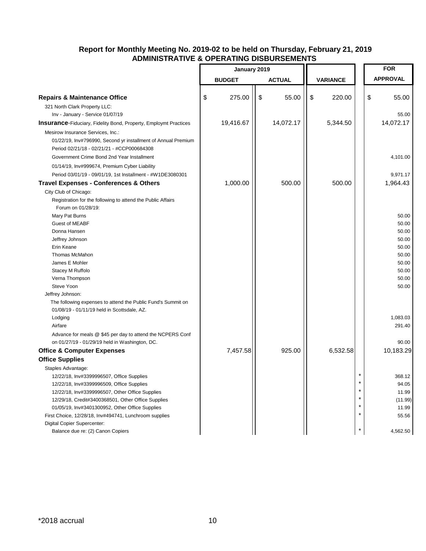|                                                                         | January 2019 |               |    |               | <b>FOR</b>      |         |    |                 |
|-------------------------------------------------------------------------|--------------|---------------|----|---------------|-----------------|---------|----|-----------------|
|                                                                         |              | <b>BUDGET</b> |    | <b>ACTUAL</b> | <b>VARIANCE</b> |         |    | <b>APPROVAL</b> |
|                                                                         |              |               |    |               |                 |         |    |                 |
| <b>Repairs &amp; Maintenance Office</b>                                 | \$           | 275.00        | \$ | 55.00         | \$<br>220.00    |         | \$ | 55.00           |
| 321 North Clark Property LLC:                                           |              |               |    |               |                 |         |    |                 |
| Inv - January - Service 01/07/19                                        |              |               |    |               |                 |         |    | 55.00           |
| <b>Insurance-Fiduciary, Fidelity Bond, Property, Employmt Practices</b> |              | 19,416.67     |    | 14,072.17     | 5,344.50        |         |    | 14,072.17       |
| Mesirow Insurance Services, Inc.:                                       |              |               |    |               |                 |         |    |                 |
| 01/22/19, Inv#796990, Second yr installment of Annual Premium           |              |               |    |               |                 |         |    |                 |
| Period 02/21/18 - 02/21/21 - #CCP000684308                              |              |               |    |               |                 |         |    |                 |
| Government Crime Bond 2nd Year Installment                              |              |               |    |               |                 |         |    | 4,101.00        |
| 01/14/19, Inv#999674, Premium Cyber Liability                           |              |               |    |               |                 |         |    |                 |
| Period 03/01/19 - 09/01/19, 1st Installment - #W1DE3080301              |              |               |    |               |                 |         |    | 9,971.17        |
| <b>Travel Expenses - Conferences &amp; Others</b>                       |              | 1,000.00      |    | 500.00        | 500.00          |         |    | 1,964.43        |
| City Club of Chicago:                                                   |              |               |    |               |                 |         |    |                 |
| Registration for the following to attend the Public Affairs             |              |               |    |               |                 |         |    |                 |
| Forum on 01/28/19:                                                      |              |               |    |               |                 |         |    |                 |
| Mary Pat Burns                                                          |              |               |    |               |                 |         |    | 50.00           |
| Guest of MEABF                                                          |              |               |    |               |                 |         |    | 50.00           |
| Donna Hansen                                                            |              |               |    |               |                 |         |    | 50.00           |
| Jeffrey Johnson                                                         |              |               |    |               |                 |         |    | 50.00           |
| Erin Keane                                                              |              |               |    |               |                 |         |    | 50.00           |
| <b>Thomas McMahon</b>                                                   |              |               |    |               |                 |         |    | 50.00           |
| James E Mohler                                                          |              |               |    |               |                 |         |    | 50.00           |
| Stacey M Ruffolo                                                        |              |               |    |               |                 |         |    | 50.00           |
| Verna Thompson                                                          |              |               |    |               |                 |         |    | 50.00           |
| Steve Yoon                                                              |              |               |    |               |                 |         |    | 50.00           |
| Jeffrey Johnson:                                                        |              |               |    |               |                 |         |    |                 |
| The following expenses to attend the Public Fund's Summit on            |              |               |    |               |                 |         |    |                 |
| 01/08/19 - 01/11/19 held in Scottsdale, AZ.                             |              |               |    |               |                 |         |    |                 |
| Lodging                                                                 |              |               |    |               |                 |         |    | 1,083.03        |
| Airfare                                                                 |              |               |    |               |                 |         |    | 291.40          |
| Advance for meals @ \$45 per day to attend the NCPERS Conf              |              |               |    |               |                 |         |    |                 |
| on 01/27/19 - 01/29/19 held in Washington, DC.                          |              |               |    |               |                 |         |    | 90.00           |
| <b>Office &amp; Computer Expenses</b>                                   |              | 7,457.58      |    | 925.00        | 6,532.58        |         |    | 10,183.29       |
| <b>Office Supplies</b>                                                  |              |               |    |               |                 |         |    |                 |
| Staples Advantage:                                                      |              |               |    |               |                 |         |    |                 |
| 12/22/18, Inv#3399996507, Office Supplies                               |              |               |    |               |                 |         |    | 368.12          |
| 12/22/18, Inv#3399996509, Office Supplies                               |              |               |    |               |                 | $\star$ |    | 94.05           |
| 12/22/18, Inv#3399996507, Other Office Supplies                         |              |               |    |               |                 | $\star$ |    | 11.99           |
| 12/29/18, Credit#3400368501, Other Office Supplies                      |              |               |    |               |                 | $\star$ |    | (11.99)         |
| 01/05/19, Inv#3401300952, Other Office Supplies                         |              |               |    |               |                 | $\star$ |    | 11.99           |
| First Choice, 12/28/18, Inv#494741, Lunchroom supplies                  |              |               |    |               |                 | $\star$ |    | 55.56           |
| Digital Copier Supercenter:                                             |              |               |    |               |                 |         |    |                 |
| Balance due re: (2) Canon Copiers                                       |              |               |    |               |                 |         |    | 4,562.50        |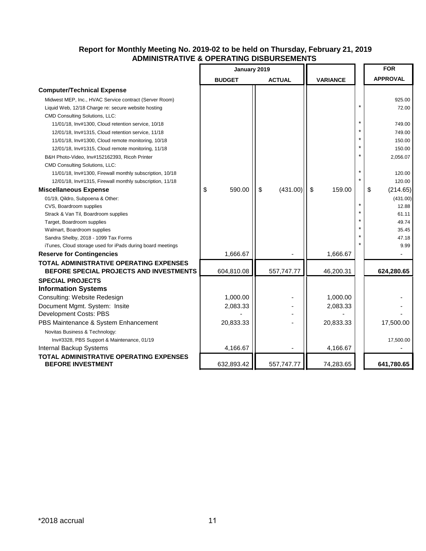|                                                                            | January 2019  |                |                      |    | <b>FOR</b>      |
|----------------------------------------------------------------------------|---------------|----------------|----------------------|----|-----------------|
|                                                                            | <b>BUDGET</b> | <b>ACTUAL</b>  | <b>VARIANCE</b>      |    | <b>APPROVAL</b> |
| <b>Computer/Technical Expense</b>                                          |               |                |                      |    |                 |
| Midwest MEP, Inc., HVAC Service contract (Server Room)                     |               |                |                      |    | 925.00          |
| Liquid Web, 12/18 Charge re: secure website hosting                        |               |                |                      |    | 72.00           |
| CMD Consulting Solutions, LLC:                                             |               |                |                      |    |                 |
| 11/01/18, Inv#1300, Cloud retention service, 10/18                         |               |                |                      |    | 749.00          |
| 12/01/18, Inv#1315, Cloud retention service, 11/18                         |               |                |                      |    | 749.00          |
| 11/01/18, Inv#1300, Cloud remote monitoring, 10/18                         |               |                |                      |    | 150.00          |
| 12/01/18, Inv#1315, Cloud remote monitoring, 11/18                         |               |                |                      |    | 150.00          |
| B&H Photo-Video, Inv#152162393, Ricoh Printer                              |               |                |                      |    | 2,056.07        |
| <b>CMD Consulting Solutions, LLC:</b>                                      |               |                |                      |    |                 |
| 11/01/18, Inv#1300, Firewall monthly subscription, 10/18                   |               |                |                      |    | 120.00          |
| 12/01/18, Inv#1315, Firewall monthly subscription, 11/18                   |               |                |                      |    | 120.00          |
| <b>Miscellaneous Expense</b>                                               | 590.00<br>\$  | \$<br>(431.00) | $\sqrt{3}$<br>159.00 | \$ | (214.65)        |
| 01/19, Qildro, Subpoena & Other:                                           |               |                |                      |    | (431.00)        |
| CVS, Boardroom supplies                                                    |               |                |                      |    | 12.88           |
| Strack & Van Til, Boardroom supplies                                       |               |                |                      |    | 61.11           |
| Target, Boardroom supplies                                                 |               |                |                      |    | 49.74           |
| Walmart, Boardroom supplies                                                |               |                |                      |    | 35.45           |
| Sandra Shelby, 2018 - 1099 Tax Forms                                       |               |                |                      |    | 47.18           |
| iTunes, Cloud storage used for iPads during board meetings                 |               |                |                      |    | 9.99            |
| <b>Reserve for Contingencies</b>                                           | 1,666.67      |                | 1,666.67             |    |                 |
| <b>TOTAL ADMINISTRATIVE OPERATING EXPENSES</b>                             |               |                |                      |    |                 |
| BEFORE SPECIAL PROJECTS AND INVESTMENTS                                    | 604,810.08    | 557,747.77     | 46,200.31            |    | 624,280.65      |
| <b>SPECIAL PROJECTS</b>                                                    |               |                |                      |    |                 |
| <b>Information Systems</b>                                                 |               |                |                      |    |                 |
| Consulting: Website Redesign                                               | 1,000.00      |                | 1,000.00             |    |                 |
| Document Mgmt. System: Insite                                              | 2,083.33      |                | 2,083.33             |    |                 |
| Development Costs: PBS                                                     |               |                |                      |    |                 |
| PBS Maintenance & System Enhancement                                       | 20,833.33     |                | 20,833.33            |    | 17,500.00       |
| Novitas Business & Technology:                                             |               |                |                      |    |                 |
| Inv#3328, PBS Support & Maintenance, 01/19                                 |               |                |                      |    | 17,500.00       |
| Internal Backup Systems                                                    | 4,166.67      |                | 4,166.67             |    |                 |
| <b>TOTAL ADMINISTRATIVE OPERATING EXPENSES</b><br><b>BEFORE INVESTMENT</b> | 632,893.42    | 557,747.77     | 74,283.65            |    | 641,780.65      |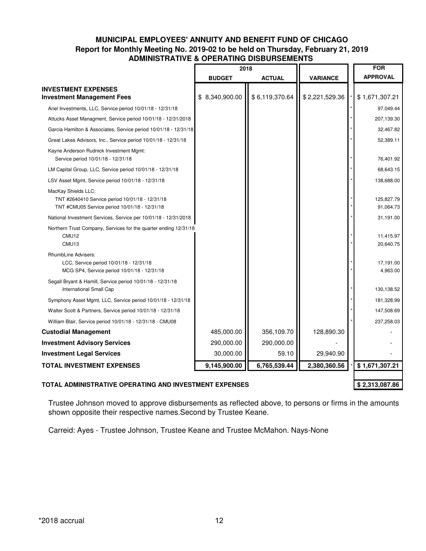### **MUNICIPAL EMPLOYEES' ANNUITY AND BENEFIT FUND OF CHICAGO Report for Monthly Meeting No. 2019-02 to be held on Thursday, February 21, 2019 ADMINISTRATIVE & OPERATING DISBURSEMENTS**

|                                                                                                                         | 2018           |                |                 | <b>FOR</b>              |
|-------------------------------------------------------------------------------------------------------------------------|----------------|----------------|-----------------|-------------------------|
|                                                                                                                         | <b>BUDGET</b>  | <b>ACTUAL</b>  | <b>VARIANCE</b> | <b>APPROVAL</b>         |
| <b>INVESTMENT EXPENSES</b><br><b>Investment Management Fees</b>                                                         | \$8,340,900.00 | \$6,119,370.64 | \$2,221,529.36  | \$1,671,307.21          |
| Ariel Investments, LLC, Service period 10/01/18 - 12/31/18                                                              |                |                |                 | 97,049.44               |
| Attucks Asset Managment, Service period 10/01/18 - 12/31/2018                                                           |                |                |                 | 207,139.30              |
| Garcia Hamilton & Associates, Service period 10/01/18 - 12/31/18                                                        |                |                |                 | 32,467.82               |
| Great Lakes Advisors, Inc., Service period 10/01/18 - 12/31/18                                                          |                |                |                 | 52,389.11               |
| Kayne Anderson Rudnick Investment Mgmt:<br>Service period 10/01/18 - 12/31/18                                           |                |                |                 | 76,401.92               |
| LM Capital Group, LLC, Service period 10/01/18 - 12/31/18                                                               |                |                |                 | 68,643.15               |
| LSV Asset Mgmt, Service period 10/01/18 - 12/31/18                                                                      |                |                |                 | 138,688.00              |
| MacKay Shields LLC:<br>TNT #2640410 Service period 10/01/18 - 12/31/18<br>TNT #CMU05 Service period 10/01/18 - 12/31/18 |                |                |                 | 125,827.79<br>91,064.73 |
| National Investment Services, Service per 10/01/18 - 12/31/2018                                                         |                |                |                 | 31,191.00               |
| Northern Trust Company, Services for the quarter ending 12/31/18<br>CMU12<br>CMU13                                      |                |                |                 | 11,415.97<br>20,640.75  |
| RhumbLine Advisers:<br>LCC, Service period 10/01/18 - 12/31/18<br>MCG SP4, Service period 10/01/18 - 12/31/18           |                |                |                 | 17,191.00<br>4,963.00   |
| Segall Bryant & Hamill, Service period 10/01/18 - 12/31/18<br>International Small Cap                                   |                |                |                 | 130,138.52              |
| Symphony Asset Mgmt, LLC, Service period 10/01/18 - 12/31/18                                                            |                |                |                 | 181,328.99              |
| Walter Scott & Partners, Service period 10/01/18 - 12/31/18                                                             |                |                |                 | 147,508.69              |
| William Blair, Service period 10/01/18 - 12/31/18 - CMU08                                                               |                |                |                 | 237,258.03              |
| <b>Custodial Management</b>                                                                                             | 485,000.00     | 356,109.70     | 128,890.30      |                         |
| <b>Investment Advisory Services</b>                                                                                     | 290,000.00     | 290,000.00     |                 |                         |
| <b>Investment Legal Services</b>                                                                                        | 30,000.00      | 59.10          | 29,940.90       |                         |
| <b>TOTAL INVESTMENT EXPENSES</b>                                                                                        | 9,145,900.00   | 6,765,539.44   | 2,380,360.56    | \$1,671,307.21          |

**TOTAL ADMINISTRATIVE OPERATING AND INVESTMENT EXPENSES \$ 2,313,087.86**

Trustee Johnson moved to approve disbursements as reflected above, to persons or firms in the amounts shown opposite their respective names.Second by Trustee Keane.

Carreid: Ayes - Trustee Johnson, Trustee Keane and Trustee McMahon. Nays-None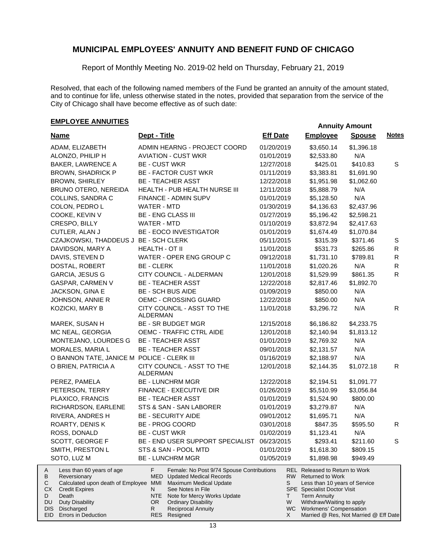Report of Monthly Meeting No. 2019-02 held on Thursday, February 21, 2019

Resolved, that each of the following named members of the Fund be granted an annuity of the amount stated, and to continue for life, unless otherwise stated in the notes, provided that separation from the service of the City of Chicago shall have become effective as of such date:

## **EMPLOYEE ANNUITIES**

| <b>Name</b><br>ADAM, ELIZABETH<br>ALONZO, PHILIP H                                                                                                                                                                     | Dept - Title<br>ADMIN HEARNG - PROJECT COORD<br><b>AVIATION - CUST WKR</b>                                                                                                                                                                                                           | <b>Eff Date</b><br>01/20/2019 | <b>Employee</b><br>\$3,650.14                                                                                                                                                                                                                   | <b>Spouse</b> | <b>Notes</b> |
|------------------------------------------------------------------------------------------------------------------------------------------------------------------------------------------------------------------------|--------------------------------------------------------------------------------------------------------------------------------------------------------------------------------------------------------------------------------------------------------------------------------------|-------------------------------|-------------------------------------------------------------------------------------------------------------------------------------------------------------------------------------------------------------------------------------------------|---------------|--------------|
|                                                                                                                                                                                                                        |                                                                                                                                                                                                                                                                                      |                               |                                                                                                                                                                                                                                                 |               |              |
|                                                                                                                                                                                                                        |                                                                                                                                                                                                                                                                                      |                               |                                                                                                                                                                                                                                                 | \$1,396.18    |              |
|                                                                                                                                                                                                                        |                                                                                                                                                                                                                                                                                      | 01/01/2019                    | \$2,533.80                                                                                                                                                                                                                                      | N/A           |              |
| <b>BAKER, LAWRENCE A</b>                                                                                                                                                                                               | <b>BE - CUST WKR</b>                                                                                                                                                                                                                                                                 | 12/27/2018                    | \$425.01                                                                                                                                                                                                                                        | \$410.83      | S            |
| <b>BROWN, SHADRICK P</b>                                                                                                                                                                                               | <b>BE - FACTOR CUST WKR</b>                                                                                                                                                                                                                                                          | 01/11/2019                    | \$3,383.81                                                                                                                                                                                                                                      | \$1,691.90    |              |
| <b>BROWN, SHIRLEY</b>                                                                                                                                                                                                  | <b>BE - TEACHER ASST</b>                                                                                                                                                                                                                                                             | 12/22/2018                    | \$1,951.98                                                                                                                                                                                                                                      | \$1,062.60    |              |
| BRUNO OTERO, NEREIDA                                                                                                                                                                                                   | HEALTH - PUB HEALTH NURSE III                                                                                                                                                                                                                                                        | 12/11/2018                    | \$5,888.79                                                                                                                                                                                                                                      | N/A           |              |
| COLLINS, SANDRA C                                                                                                                                                                                                      | FINANCE - ADMIN SUPV                                                                                                                                                                                                                                                                 | 01/01/2019                    | \$5,128.50                                                                                                                                                                                                                                      | N/A           |              |
| COLON, PEDRO L                                                                                                                                                                                                         | WATER - MTD                                                                                                                                                                                                                                                                          | 01/30/2019                    | \$4,136.63                                                                                                                                                                                                                                      | \$2,437.96    |              |
| COOKE, KEVIN V                                                                                                                                                                                                         | <b>BE - ENG CLASS III</b>                                                                                                                                                                                                                                                            | 01/27/2019                    | \$5,196.42                                                                                                                                                                                                                                      | \$2,598.21    |              |
| CRESPO, BILLY                                                                                                                                                                                                          | WATER - MTD                                                                                                                                                                                                                                                                          | 01/10/2019                    | \$3,872.94                                                                                                                                                                                                                                      | \$2,417.63    |              |
| CUTLER, ALAN J                                                                                                                                                                                                         | <b>BE - EOCO INVESTIGATOR</b>                                                                                                                                                                                                                                                        | 01/01/2019                    | \$1,674.49                                                                                                                                                                                                                                      | \$1,070.84    |              |
| CZAJKOWSKI, THADDEUS J BE - SCH CLERK                                                                                                                                                                                  |                                                                                                                                                                                                                                                                                      | 05/11/2015                    | \$315.39                                                                                                                                                                                                                                        | \$371.46      | S            |
| DAVIDSON, MARY A                                                                                                                                                                                                       | HEALTH - OT II                                                                                                                                                                                                                                                                       | 11/01/2018                    | \$531.73                                                                                                                                                                                                                                        | \$265.86      | $\mathsf{R}$ |
| DAVIS, STEVEN D                                                                                                                                                                                                        | WATER - OPER ENG GROUP C                                                                                                                                                                                                                                                             | 09/12/2018                    | \$1,731.10                                                                                                                                                                                                                                      | \$789.81      | R            |
| DOSTAL, ROBERT                                                                                                                                                                                                         | <b>BE - CLERK</b>                                                                                                                                                                                                                                                                    | 11/01/2018                    | \$1,020.26                                                                                                                                                                                                                                      | N/A           | $\mathsf{R}$ |
| <b>GARCIA, JESUS G</b>                                                                                                                                                                                                 | CITY COUNCIL - ALDERMAN                                                                                                                                                                                                                                                              | 12/01/2018                    | \$1,529.99                                                                                                                                                                                                                                      | \$861.35      | R            |
| GASPAR, CARMEN V                                                                                                                                                                                                       | <b>BE - TEACHER ASST</b>                                                                                                                                                                                                                                                             | 12/22/2018                    | \$2,817.46                                                                                                                                                                                                                                      | \$1,892.70    |              |
| JACKSON, GINA E                                                                                                                                                                                                        | <b>BE - SCH BUS AIDE</b>                                                                                                                                                                                                                                                             | 01/09/2019                    | \$850.00                                                                                                                                                                                                                                        | N/A           |              |
| JOHNSON, ANNIE R                                                                                                                                                                                                       | OEMC - CROSSING GUARD                                                                                                                                                                                                                                                                | 12/22/2018                    | \$850.00                                                                                                                                                                                                                                        | N/A           |              |
| KOZICKI, MARY B                                                                                                                                                                                                        | CITY COUNCIL - ASST TO THE<br><b>ALDERMAN</b>                                                                                                                                                                                                                                        | 11/01/2018                    | \$3,296.72                                                                                                                                                                                                                                      | N/A           | R.           |
| MAREK, SUSAN H                                                                                                                                                                                                         | <b>BE - SR BUDGET MGR</b>                                                                                                                                                                                                                                                            | 12/15/2018                    | \$6,186.82                                                                                                                                                                                                                                      | \$4,233.75    |              |
| MC NEAL, GEORGIA                                                                                                                                                                                                       | OEMC - TRAFFIC CTRL AIDE                                                                                                                                                                                                                                                             | 12/01/2018                    | \$2,140.94                                                                                                                                                                                                                                      | \$1,813.12    |              |
| MONTEJANO, LOURDES G                                                                                                                                                                                                   | <b>BE - TEACHER ASST</b>                                                                                                                                                                                                                                                             | 01/01/2019                    | \$2,769.32                                                                                                                                                                                                                                      | N/A           |              |
| MORALES, MARIA L                                                                                                                                                                                                       | <b>BE - TEACHER ASST</b>                                                                                                                                                                                                                                                             | 09/01/2018                    | \$2,131.57                                                                                                                                                                                                                                      | N/A           |              |
| O BANNON TATE, JANICE M POLICE - CLERK III                                                                                                                                                                             |                                                                                                                                                                                                                                                                                      | 01/16/2019                    | \$2,188.97                                                                                                                                                                                                                                      | N/A           |              |
| O BRIEN, PATRICIA A                                                                                                                                                                                                    | CITY COUNCIL - ASST TO THE                                                                                                                                                                                                                                                           | 12/01/2018                    | \$2,144.35                                                                                                                                                                                                                                      | \$1,072.18    | R            |
|                                                                                                                                                                                                                        | ALDERMAN                                                                                                                                                                                                                                                                             |                               |                                                                                                                                                                                                                                                 |               |              |
| PEREZ, PAMELA                                                                                                                                                                                                          | <b>BE - LUNCHRM MGR</b>                                                                                                                                                                                                                                                              | 12/22/2018                    | \$2,194.51                                                                                                                                                                                                                                      | \$1,091.77    |              |
| PETERSON, TERRY                                                                                                                                                                                                        | FINANCE - EXECUTIVE DIR                                                                                                                                                                                                                                                              | 01/26/2019                    | \$5,510.99                                                                                                                                                                                                                                      | \$3,056.84    |              |
| PLAXICO, FRANCIS                                                                                                                                                                                                       | <b>BE - TEACHER ASST</b>                                                                                                                                                                                                                                                             | 01/01/2019                    | \$1,524.90                                                                                                                                                                                                                                      | \$800.00      |              |
| RICHARDSON, EARLENE                                                                                                                                                                                                    | STS & SAN - SAN LABORER                                                                                                                                                                                                                                                              | 01/01/2019                    | \$3,279.87                                                                                                                                                                                                                                      | N/A           |              |
| RIVERA, ANDRES H                                                                                                                                                                                                       | <b>BE - SECURITY AIDE</b>                                                                                                                                                                                                                                                            | 09/01/2012                    | \$1,695.71                                                                                                                                                                                                                                      | N/A           |              |
| <b>ROARTY, DENISK</b>                                                                                                                                                                                                  | <b>BE - PROG COORD</b>                                                                                                                                                                                                                                                               | 03/01/2018                    | \$847.35                                                                                                                                                                                                                                        | \$595.50      | R            |
| ROSS, DONALD                                                                                                                                                                                                           | <b>BE - CUST WKR</b>                                                                                                                                                                                                                                                                 | 01/02/2019                    | \$1,123.41                                                                                                                                                                                                                                      | N/A           |              |
| SCOTT, GEORGE F                                                                                                                                                                                                        | BE - END USER SUPPORT SPECIALIST 06/23/2015                                                                                                                                                                                                                                          |                               | \$293.41                                                                                                                                                                                                                                        | \$211.60      | S            |
| SMITH, PRESTON L                                                                                                                                                                                                       | STS & SAN - POOL MTD                                                                                                                                                                                                                                                                 | 01/01/2019                    | \$1,618.30                                                                                                                                                                                                                                      | \$809.15      |              |
| SOTO, LUZ M                                                                                                                                                                                                            | <b>BE - LUNCHRM MGR</b>                                                                                                                                                                                                                                                              | 01/05/2019                    | \$1,898.98                                                                                                                                                                                                                                      | \$949.49      |              |
| Less than 60 years of age<br>A<br>В<br>Reversionary<br>С<br>Calculated upon death of Employee<br>СX<br><b>Credit Expires</b><br>D<br>Death<br>DU<br>Duty Disability<br>Discharged<br>DIS<br>EID<br>Errors in Deduction | F<br>Female: No Post 9/74 Spouse Contributions<br><b>MED</b> Updated Medical Records<br><b>Maximum Medical Update</b><br>MMI<br>See Notes in File<br>N<br>Note for Mercy Works Update<br>NTE<br><b>Ordinary Disability</b><br>OR.<br><b>Reciprocal Annuity</b><br>R.<br>RES Resigned | S<br>T.<br>W<br>X             | REL Released to Return to Work<br>RW Returned to Work<br>Less than 10 years of Service<br>SPE Specialist Doctor Visit<br><b>Term Annuity</b><br>Withdraw/Waiting to apply<br>WC Workmens' Compensation<br>Married @ Res, Not Married @ Eff Date |               |              |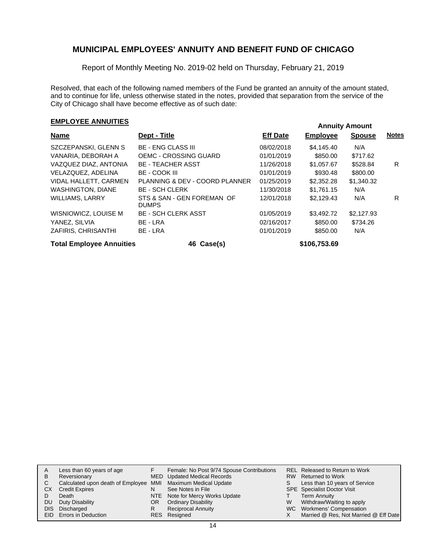Report of Monthly Meeting No. 2019-02 held on Thursday, February 21, 2019

Resolved, that each of the following named members of the Fund be granted an annuity of the amount stated, and to continue for life, unless otherwise stated in the notes, provided that separation from the service of the City of Chicago shall have become effective as of such date:

# **EMPLOYEE ANNUITIES**<br> **EMPLOYEE ANNUITIES**

| <b>Name</b>                     | Dept - Title                               | <b>Eff Date</b> | <b>Employee</b> | <b>Spouse</b> | <b>Notes</b> |
|---------------------------------|--------------------------------------------|-----------------|-----------------|---------------|--------------|
| SZCZEPANSKI, GLENN S            | <b>BE - ENG CLASS III</b>                  | 08/02/2018      | \$4,145,40      | N/A           |              |
| VANARIA. DEBORAH A              | <b>OEMC - CROSSING GUARD</b>               | 01/01/2019      | \$850.00        | \$717.62      |              |
| VAZQUEZ DIAZ, ANTONIA           | <b>BE - TEACHER ASST</b>                   | 11/26/2018      | \$1,057.67      | \$528.84      | R            |
| VELAZQUEZ, ADELINA              | BE - COOK III                              | 01/01/2019      | \$930.48        | \$800.00      |              |
| VIDAL HALLETT, CARMEN           | PLANNING & DEV - COORD PLANNER             | 01/25/2019      | \$2,352,28      | \$1,340.32    |              |
| <b>WASHINGTON, DIANE</b>        | <b>BE - SCH CLERK</b>                      | 11/30/2018      | \$1.761.15      | N/A           |              |
| WILLIAMS, LARRY                 | STS & SAN - GEN FOREMAN OF<br><b>DUMPS</b> | 12/01/2018      | \$2,129.43      | N/A           | R            |
| WISNIOWICZ, LOUISE M            | <b>BE - SCH CLERK ASST</b>                 | 01/05/2019      | \$3,492.72      | \$2.127.93    |              |
| YANEZ, SILVIA                   | BE - LRA                                   | 02/16/2017      | \$850.00        | \$734.26      |              |
| ZAFIRIS, CHRISANTHI             | BE - LRA                                   | 01/01/2019      | \$850.00        | N/A           |              |
| <b>Total Employee Annuities</b> | 46 Case(s)                                 |                 | \$106,753.69    |               |              |

|    | Less than 60 years of age                                    |     | Female: No Post 9/74 Spouse Contributions |    | REL Released to Return to Work        |
|----|--------------------------------------------------------------|-----|-------------------------------------------|----|---------------------------------------|
| в  | Reversionary                                                 |     | MED Updated Medical Records               |    | RW Returned to Work                   |
| C. | Calculated upon death of Employee MMI Maximum Medical Update |     |                                           | S. | Less than 10 years of Service         |
| СX | <b>Credit Expires</b>                                        | N   | See Notes in File                         |    | <b>SPE</b> Specialist Doctor Visit    |
|    | Death                                                        |     | NTE Note for Mercy Works Update           |    | <b>Term Annuity</b>                   |
| DU | Duty Disability                                              | OR. | <b>Ordinary Disability</b>                | W  | Withdraw/Waiting to apply             |
|    | DIS Discharged                                               | R   | <b>Reciprocal Annuity</b>                 |    | WC Workmens' Compensation             |
|    | EID Errors in Deduction                                      |     | RES Resigned                              |    | Married @ Res, Not Married @ Eff Date |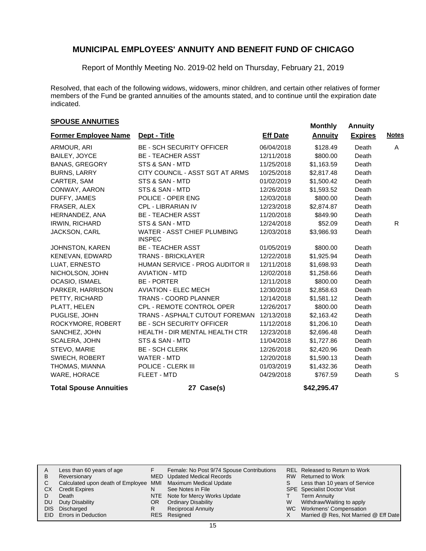Report of Monthly Meeting No. 2019-02 held on Thursday, February 21, 2019

Resolved, that each of the following widows, widowers, minor children, and certain other relatives of former members of the Fund be granted annuities of the amounts stated, and to continue until the expiration date indicated.

### **SPOUSE ANNUITIES**<br> **SPOUSE ANNUITIES**

| <b>Former Employee Name</b>   | Dept - Title                                        | <b>Eff Date</b> | <b>Annuity</b> | <b>Expires</b> | <b>Notes</b> |
|-------------------------------|-----------------------------------------------------|-----------------|----------------|----------------|--------------|
| ARMOUR, ARI                   | <b>BE - SCH SECURITY OFFICER</b>                    | 06/04/2018      | \$128.49       | Death          | A            |
| BAILEY, JOYCE                 | <b>BE - TEACHER ASST</b>                            | 12/11/2018      | \$800.00       | Death          |              |
| <b>BANAS, GREGORY</b>         | STS & SAN - MTD                                     | 11/25/2018      | \$1,163.59     | Death          |              |
| <b>BURNS, LARRY</b>           | CITY COUNCIL - ASST SGT AT ARMS                     | 10/25/2018      | \$2,817.48     | Death          |              |
| CARTER, SAM                   | STS & SAN - MTD                                     | 01/02/2019      | \$1,500.42     | Death          |              |
| CONWAY, AARON                 | STS & SAN - MTD                                     | 12/26/2018      | \$1,593.52     | Death          |              |
| DUFFY, JAMES                  | POLICE - OPER ENG                                   | 12/03/2018      | \$800.00       | Death          |              |
| FRASER, ALEX                  | CPL - LIBRARIAN IV                                  | 12/23/2018      | \$2,874.87     | Death          |              |
| HERNANDEZ, ANA                | <b>BE - TEACHER ASST</b>                            | 11/20/2018      | \$849.90       | Death          |              |
| <b>IRWIN, RICHARD</b>         | STS & SAN - MTD                                     | 12/24/2018      | \$52.09        | Death          | R.           |
| <b>JACKSON, CARL</b>          | <b>WATER - ASST CHIEF PLUMBING</b><br><b>INSPEC</b> | 12/03/2018      | \$3,986.93     | Death          |              |
| <b>JOHNSTON, KAREN</b>        | <b>BE - TEACHER ASST</b>                            | 01/05/2019      | \$800.00       | Death          |              |
| KENEVAN, EDWARD               | <b>TRANS - BRICKLAYER</b>                           | 12/22/2018      | \$1,925.94     | Death          |              |
| LUAT, ERNESTO                 | HUMAN SERVICE - PROG AUDITOR II                     | 12/11/2018      | \$1,698.93     | Death          |              |
| NICHOLSON, JOHN               | <b>AVIATION - MTD</b>                               | 12/02/2018      | \$1,258.66     | Death          |              |
| OCASIO, ISMAEL                | <b>BE - PORTER</b>                                  | 12/11/2018      | \$800.00       | Death          |              |
| PARKER, HARRISON              | <b>AVIATION - ELEC MECH</b>                         | 12/30/2018      | \$2,858.63     | Death          |              |
| PETTY, RICHARD                | <b>TRANS - COORD PLANNER</b>                        | 12/14/2018      | \$1,581.12     | Death          |              |
| PLATT, HELEN                  | <b>CPL - REMOTE CONTROL OPER</b>                    | 12/26/2017      | \$800.00       | Death          |              |
| PUGLISE, JOHN                 | TRANS - ASPHALT CUTOUT FOREMAN                      | 12/13/2018      | \$2,163.42     | Death          |              |
| ROCKYMORE, ROBERT             | <b>BE - SCH SECURITY OFFICER</b>                    | 11/12/2018      | \$1,206.10     | Death          |              |
| SANCHEZ, JOHN                 | <b>HEALTH - DIR MENTAL HEALTH CTR</b>               | 12/23/2018      | \$2,696.48     | Death          |              |
| SCALERA, JOHN                 | STS & SAN - MTD                                     | 11/04/2018      | \$1,727.86     | Death          |              |
| STEVO, MARIE                  | <b>BE - SCH CLERK</b>                               | 12/26/2018      | \$2,420.96     | Death          |              |
| <b>SWIECH, ROBERT</b>         | <b>WATER - MTD</b>                                  | 12/20/2018      | \$1,590.13     | Death          |              |
| THOMAS, MIANNA                | POLICE - CLERK III                                  | 01/03/2019      | \$1,432.36     | Death          |              |
| WARE, HORACE                  | FLEET - MTD                                         | 04/29/2018      | \$767.59       | Death          | S            |
| <b>Total Spouse Annuities</b> | 27 Case(s)                                          |                 | \$42,295.47    |                |              |

| A    | Less than 60 years of age                                    |    | Female: No Post 9/74 Spouse Contributions |   | REL Released to Return to Work        |
|------|--------------------------------------------------------------|----|-------------------------------------------|---|---------------------------------------|
| В    | Reversionary                                                 |    | MED Updated Medical Records               |   | RW Returned to Work                   |
|      | Calculated upon death of Employee MMI Maximum Medical Update |    |                                           |   | Less than 10 years of Service         |
| СX   | <b>Credit Expires</b>                                        | N  | See Notes in File                         |   | SPE Specialist Doctor Visit           |
|      | Death                                                        |    | NTE Note for Mercy Works Update           |   | <b>Term Annuity</b>                   |
| DU   | Duty Disability                                              | OR | <b>Ordinary Disability</b>                | W | Withdraw/Waiting to apply             |
| DIS. | Discharged                                                   | R  | <b>Reciprocal Annuity</b>                 |   | WC Workmens' Compensation             |
|      | <b>EID</b> Errors in Deduction                               |    | RES Resigned                              |   | Married @ Res, Not Married @ Eff Date |
|      |                                                              |    |                                           |   |                                       |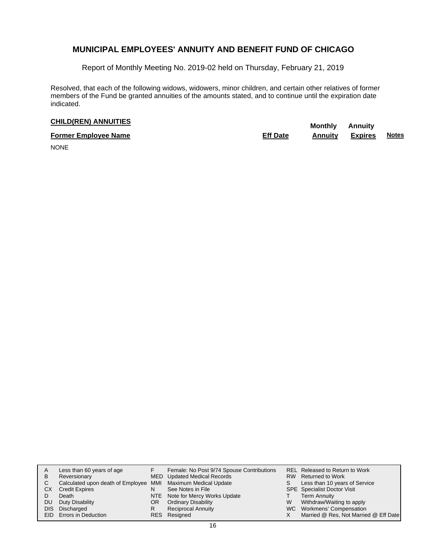Report of Monthly Meeting No. 2019-02 held on Thursday, February 21, 2019

Resolved, that each of the following widows, widowers, minor children, and certain other relatives of former members of the Fund be granted annuities of the amounts stated, and to continue until the expiration date indicated.

# **CHILD(REN) ANNUITIES Monthly** Annuity

| <b>Former Employee Name</b> | <b>Eff Date</b> | Annuitv | <b>Expires</b> | <b>Notes</b> |
|-----------------------------|-----------------|---------|----------------|--------------|
| --------                    |                 |         |                |              |

NONE

| в<br>C.<br>CХ<br>DU | Less than 60 years of age<br>Reversionary<br>Calculated upon death of Employee MMI Maximum Medical Update<br><b>Credit Expires</b><br>Death<br>Duty Disability<br>DIS Discharged<br>EID Errors in Deduction | OR<br>R | Female: No Post 9/74 Spouse Contributions<br>MED Updated Medical Records<br>See Notes in File<br>NTE Note for Mercy Works Update<br><b>Ordinary Disability</b><br><b>Reciprocal Annuity</b><br>RES Resigned | W | REL Released to Return to Work<br>RW Returned to Work<br>Less than 10 years of Service<br>SPE Specialist Doctor Visit<br><b>Term Annuity</b><br>Withdraw/Waiting to apply<br>WC Workmens' Compensation<br>Married @ Res, Not Married @ Eff Date |
|---------------------|-------------------------------------------------------------------------------------------------------------------------------------------------------------------------------------------------------------|---------|-------------------------------------------------------------------------------------------------------------------------------------------------------------------------------------------------------------|---|-------------------------------------------------------------------------------------------------------------------------------------------------------------------------------------------------------------------------------------------------|
|---------------------|-------------------------------------------------------------------------------------------------------------------------------------------------------------------------------------------------------------|---------|-------------------------------------------------------------------------------------------------------------------------------------------------------------------------------------------------------------|---|-------------------------------------------------------------------------------------------------------------------------------------------------------------------------------------------------------------------------------------------------|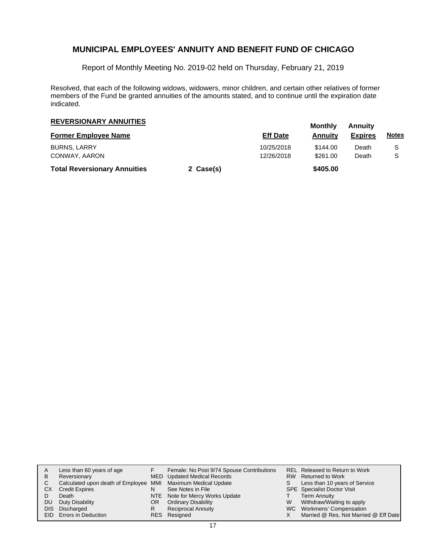Report of Monthly Meeting No. 2019-02 held on Thursday, February 21, 2019

Resolved, that each of the following widows, widowers, minor children, and certain other relatives of former members of the Fund be granted annuities of the amounts stated, and to continue until the expiration date indicated.

| <b>REVERSIONARY ANNUITIES</b>       |           |                 | Monthly  | Annuitv        |              |  |
|-------------------------------------|-----------|-----------------|----------|----------------|--------------|--|
| <b>Former Employee Name</b>         |           | <b>Eff Date</b> | Annuity  | <b>Expires</b> | <u>Notes</u> |  |
| <b>BURNS, LARRY</b>                 |           | 10/25/2018      | \$144.00 | Death          | S            |  |
| CONWAY, AARON                       |           | 12/26/2018      | \$261.00 | Death          | S            |  |
| <b>Total Reversionary Annuities</b> | 2 Case(s) |                 | \$405.00 |                |              |  |

| Α  | Less than 60 years of age                                    |     | Female: No Post 9/74 Spouse Contributions |    | REL Released to Return to Work        |
|----|--------------------------------------------------------------|-----|-------------------------------------------|----|---------------------------------------|
| в  | Reversionary                                                 |     | MED Updated Medical Records               |    | RW Returned to Work                   |
| C. | Calculated upon death of Employee MMI Maximum Medical Update |     |                                           | S. | Less than 10 years of Service         |
| CХ | <b>Credit Expires</b>                                        |     | See Notes in File                         |    | <b>SPE</b> Specialist Doctor Visit    |
|    | Death                                                        |     | NTE Note for Mercy Works Update           |    | <b>Term Annuity</b>                   |
| DU | Duty Disability                                              | OR. | <b>Ordinary Disability</b>                | W  | Withdraw/Waiting to apply             |
|    | DIS Discharged                                               | R   | <b>Reciprocal Annuity</b>                 |    | WC Workmens' Compensation             |
|    | EID Errors in Deduction                                      |     | RES Resigned                              |    | Married @ Res, Not Married @ Eff Date |
|    |                                                              |     |                                           |    |                                       |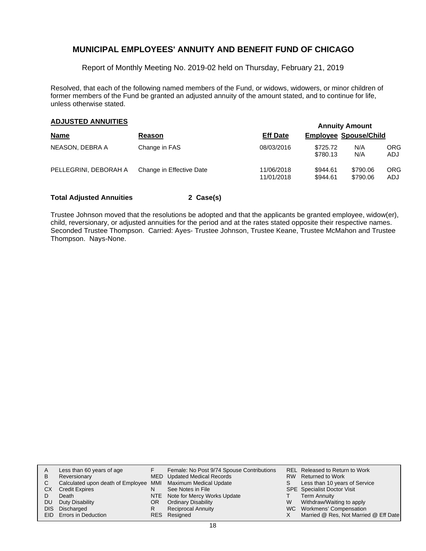Report of Monthly Meeting No. 2019-02 held on Thursday, February 21, 2019

Resolved, that each of the following named members of the Fund, or widows, widowers, or minor children of former members of the Fund be granted an adjusted annuity of the amount stated, and to continue for life, unless otherwise stated.

### **Annuity Amount ADJUSTED ANNUITIES**

|                       |                          |                          |                              | <b>AUTORY AUVAIN</b> |                    |
|-----------------------|--------------------------|--------------------------|------------------------------|----------------------|--------------------|
| <b>Name</b>           | Reason                   | <b>Eff Date</b>          | <b>Employee Spouse/Child</b> |                      |                    |
| NEASON, DEBRA A       | Change in FAS            | 08/03/2016               | \$725.72<br>\$780.13         | N/A<br>N/A           | ORG.<br><b>ADJ</b> |
| PELLEGRINI, DEBORAH A | Change in Effective Date | 11/06/2018<br>11/01/2018 | \$944.61<br>\$944.61         | \$790.06<br>\$790.06 | ORG<br>ADJ         |

#### **Total Adjusted Annuities 2 Case(s)**

Trustee Johnson moved that the resolutions be adopted and that the applicants be granted employee, widow(er), child, reversionary, or adjusted annuities for the period and at the rates stated opposite their respective names. Seconded Trustee Thompson. Carried: Ayes- Trustee Johnson, Trustee Keane, Trustee McMahon and Trustee Thompson. Nays-None.

| A   | Less than 60 years of age                                    |    | Female: No Post 9/74 Spouse Contributions |    | REL Released to Return to Work        |
|-----|--------------------------------------------------------------|----|-------------------------------------------|----|---------------------------------------|
| B   | Reversionary                                                 |    | MED Updated Medical Records               |    | RW Returned to Work                   |
|     | Calculated upon death of Employee MMI Maximum Medical Update |    |                                           | S. | Less than 10 years of Service         |
| CХ  | <b>Credit Expires</b>                                        | N  | See Notes in File                         |    | <b>SPE</b> Specialist Doctor Visit    |
|     | Death                                                        |    | NTE Note for Mercy Works Update           |    | <b>Term Annuity</b>                   |
| DU. | Duty Disability                                              | OR | <b>Ordinary Disability</b>                | W  | Withdraw/Waiting to apply             |
|     | DIS Discharged                                               | R  | <b>Reciprocal Annuity</b>                 |    | WC Workmens' Compensation             |
|     | <b>EID</b> Errors in Deduction                               |    | RES Resigned                              |    | Married @ Res, Not Married @ Eff Date |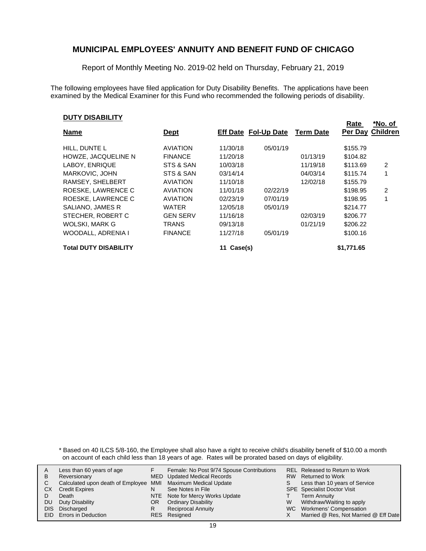Report of Monthly Meeting No. 2019-02 held on Thursday, February 21, 2019

The following employees have filed application for Duty Disability Benefits. The applications have been examined by the Medical Examiner for this Fund who recommended the following periods of disability.

#### **DUTY DISABILITY**

| <b>Name</b>                  | <b>Dept</b>     |          | <b>Eff Date Fol-Up Date</b> | <b>Term Date</b> | Rate       | *No. of<br><b>Per Day Children</b> |
|------------------------------|-----------------|----------|-----------------------------|------------------|------------|------------------------------------|
|                              |                 |          |                             |                  |            |                                    |
| HILL, DUNTE L                | <b>AVIATION</b> | 11/30/18 | 05/01/19                    |                  | \$155.79   |                                    |
| HOWZE, JACQUELINE N          | <b>FINANCE</b>  | 11/20/18 |                             | 01/13/19         | \$104.82   |                                    |
| LABOY, ENRIQUE               | STS & SAN       | 10/03/18 |                             | 11/19/18         | \$113.69   | 2                                  |
| MARKOVIC, JOHN               | STS & SAN       | 03/14/14 |                             | 04/03/14         | \$115.74   | 1                                  |
| RAMSEY, SHELBERT             | <b>AVIATION</b> | 11/10/18 |                             | 12/02/18         | \$155.79   |                                    |
| ROESKE, LAWRENCE C           | <b>AVIATION</b> | 11/01/18 | 02/22/19                    |                  | \$198.95   | $\overline{2}$                     |
| ROESKE, LAWRENCE C           | <b>AVIATION</b> | 02/23/19 | 07/01/19                    |                  | \$198.95   |                                    |
| SALIANO, JAMES R             | <b>WATER</b>    | 12/05/18 | 05/01/19                    |                  | \$214.77   |                                    |
| STECHER, ROBERT C            | <b>GEN SERV</b> | 11/16/18 |                             | 02/03/19         | \$206.77   |                                    |
| WOLSKI, MARK G               | <b>TRANS</b>    | 09/13/18 |                             | 01/21/19         | \$206.22   |                                    |
| WOODALL, ADRENIA I           | <b>FINANCE</b>  | 11/27/18 | 05/01/19                    |                  | \$100.16   |                                    |
| <b>Total DUTY DISABILITY</b> |                 | Case(s)  |                             |                  | \$1,771.65 |                                    |

\* Based on 40 ILCS 5/8-160, the Employee shall also have a right to receive child's disability benefit of \$10.00 a month on account of each child less than 18 years of age. Rates will be prorated based on days of eligibility.

|      | Less than 60 years of age                                    |     | Female: No Post 9/74 Spouse Contributions |   | REL Released to Return to Work        |
|------|--------------------------------------------------------------|-----|-------------------------------------------|---|---------------------------------------|
| В    | Reversionary                                                 |     | MED Updated Medical Records               |   | RW Returned to Work                   |
|      |                                                              |     |                                           |   |                                       |
|      | Calculated upon death of Employee MMI Maximum Medical Update |     |                                           | S | Less than 10 years of Service         |
| СX   | <b>Credit Expires</b>                                        | N   | See Notes in File                         |   | <b>SPE</b> Specialist Doctor Visit    |
|      | Death                                                        |     | NTE Note for Mercy Works Update           |   | <b>Term Annuity</b>                   |
| DU   | Duty Disability                                              | OR. | <b>Ordinary Disability</b>                | W | Withdraw/Waiting to apply             |
| DIS. | Discharged                                                   |     | <b>Reciprocal Annuity</b>                 |   | WC Workmens' Compensation             |
|      | <b>EID</b> Errors in Deduction                               |     | RES Resigned                              |   | Married @ Res, Not Married @ Eff Date |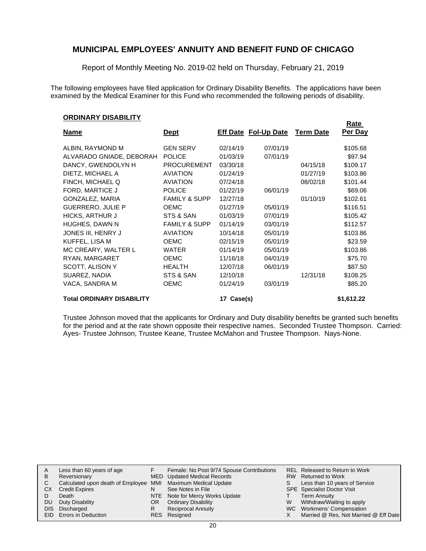Report of Monthly Meeting No. 2019-02 held on Thursday, February 21, 2019

The following employees have filed application for Ordinary Disability Benefits. The applications have been examined by the Medical Examiner for this Fund who recommended the following periods of disability.

#### **ORDINARY DISABILITY**

|                                  |                          |               |                             |                  | <u>Rate</u> |
|----------------------------------|--------------------------|---------------|-----------------------------|------------------|-------------|
| <b>Name</b>                      | <u>Dept</u>              |               | <b>Eff Date Fol-Up Date</b> | <b>Term Date</b> | Per Day     |
| ALBIN, RAYMOND M                 | <b>GEN SERV</b>          | 02/14/19      | 07/01/19                    |                  | \$105.68    |
| ALVARADO GNIADE, DEBORAH         | <b>POLICE</b>            | 01/03/19      | 07/01/19                    |                  | \$97.94     |
| DANCY, GWENDOLYN H               | <b>PROCUREMENT</b>       | 03/30/18      |                             | 04/15/18         | \$109.17    |
| DIETZ, MICHAEL A                 | <b>AVIATION</b>          | 01/24/19      |                             | 01/27/19         | \$103.86    |
| FINCH, MICHAEL Q                 | <b>AVIATION</b>          | 07/24/18      |                             | 08/02/18         | \$101.44    |
| FORD, MARTICE J                  | <b>POLICE</b>            | 01/22/19      | 06/01/19                    |                  | \$69.06     |
| GONZALEZ, MARIA                  | <b>FAMILY &amp; SUPP</b> | 12/27/18      |                             | 01/10/19         | \$102.61    |
| <b>GUERRERO, JULIE P</b>         | <b>OEMC</b>              | 01/27/19      | 05/01/19                    |                  | \$116.51    |
| HICKS, ARTHUR J                  | STS & SAN                | 01/03/19      | 07/01/19                    |                  | \$105.42    |
| HUGHES, DAWN N                   | <b>FAMILY &amp; SUPP</b> | 01/14/19      | 03/01/19                    |                  | \$112.57    |
| JONES III, HENRY J               | <b>AVIATION</b>          | 10/14/18      | 05/01/19                    |                  | \$103.86    |
| KUFFEL, LISA M                   | <b>OEMC</b>              | 02/15/19      | 05/01/19                    |                  | \$23.59     |
| MC CREARY, WALTER L              | <b>WATER</b>             | 01/14/19      | 05/01/19                    |                  | \$103.86    |
| RYAN, MARGARET                   | <b>OEMC</b>              | 11/16/18      | 04/01/19                    |                  | \$75.70     |
| SCOTT, ALISON Y                  | <b>HEALTH</b>            | 12/07/18      | 06/01/19                    |                  | \$87.50     |
| SUAREZ, NADIA                    | STS & SAN                | 12/10/18      |                             | 12/31/18         | \$108.25    |
| VACA, SANDRA M                   | <b>OEMC</b>              | 01/24/19      | 03/01/19                    |                  | \$85.20     |
| <b>Total ORDINARY DISABILITY</b> |                          | Case(s)<br>17 |                             |                  | \$1,612.22  |

Trustee Johnson moved that the applicants for Ordinary and Duty disability benefits be granted such benefits for the period and at the rate shown opposite their respective names. Seconded Trustee Thompson. Carried: Ayes- Trustee Johnson, Trustee Keane, Trustee McMahon and Trustee Thompson. Nays-None.

| A   | Less than 60 years of age                                    |     | Female: No Post 9/74 Spouse Contributions |    | REL Released to Return to Work        |
|-----|--------------------------------------------------------------|-----|-------------------------------------------|----|---------------------------------------|
| B   | Reversionary                                                 |     | MED Updated Medical Records               |    | RW Returned to Work                   |
| C.  | Calculated upon death of Employee MMI Maximum Medical Update |     |                                           | S. | Less than 10 years of Service         |
| CХ  | <b>Credit Expires</b>                                        | N   | See Notes in File                         |    | <b>SPE</b> Specialist Doctor Visit    |
|     | Death                                                        |     | NTE Note for Mercy Works Update           |    | <b>Term Annuity</b>                   |
| DU. | Duty Disability                                              | OR. | <b>Ordinary Disability</b>                | W  | Withdraw/Waiting to apply             |
|     | DIS Discharged                                               |     | <b>Reciprocal Annuity</b>                 |    | WC Workmens' Compensation             |
|     | EID Errors in Deduction                                      |     | RES Resigned                              |    | Married @ Res, Not Married @ Eff Date |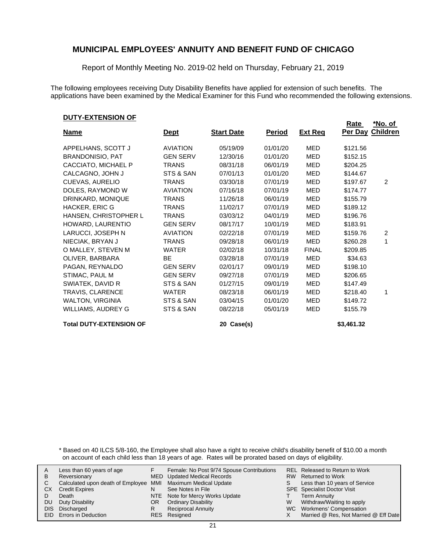Report of Monthly Meeting No. 2019-02 held on Thursday, February 21, 2019

The following employees receiving Duty Disability Benefits have applied for extension of such benefits. The applications have been examined by the Medical Examiner for this Fund who recommended the following extensions.

#### **DUTY-EXTENSION OF**

|                                |                 |                   |               |                | <b>Rate</b> | <u>*No. of</u>  |
|--------------------------------|-----------------|-------------------|---------------|----------------|-------------|-----------------|
| <b>Name</b>                    | <b>Dept</b>     | <b>Start Date</b> | <u>Period</u> | <b>Ext Reg</b> | Per Day     | <b>Children</b> |
| APPELHANS, SCOTT J             | <b>AVIATION</b> | 05/19/09          | 01/01/20      | MED            | \$121.56    |                 |
| <b>BRANDONISIO, PAT</b>        | <b>GEN SERV</b> | 12/30/16          | 01/01/20      | MED            | \$152.15    |                 |
| CACCIATO, MICHAEL P            | <b>TRANS</b>    | 08/31/18          | 06/01/19      | <b>MED</b>     | \$204.25    |                 |
| CALCAGNO, JOHN J               | STS & SAN       | 07/01/13          | 01/01/20      | MED            | \$144.67    |                 |
| <b>CUEVAS, AURELIO</b>         | <b>TRANS</b>    | 03/30/18          | 07/01/19      | MED            | \$197.67    | 2               |
| DOLES, RAYMOND W               | <b>AVIATION</b> | 07/16/18          | 07/01/19      | <b>MED</b>     | \$174.77    |                 |
| DRINKARD, MONIQUE              | <b>TRANS</b>    | 11/26/18          | 06/01/19      | MED            | \$155.79    |                 |
| HACKER, ERIC G                 | <b>TRANS</b>    | 11/02/17          | 07/01/19      | MED            | \$189.12    |                 |
| HANSEN, CHRISTOPHER L          | <b>TRANS</b>    | 03/03/12          | 04/01/19      | MED            | \$196.76    |                 |
| HOWARD, LAURENTIO              | <b>GEN SERV</b> | 08/17/17          | 10/01/19      | MED            | \$183.91    |                 |
| LARUCCI, JOSEPH N              | <b>AVIATION</b> | 02/22/18          | 07/01/19      | MED            | \$159.76    | 2               |
| NIECIAK, BRYAN J               | <b>TRANS</b>    | 09/28/18          | 06/01/19      | MED            | \$260.28    | 1               |
| O MALLEY, STEVEN M             | <b>WATER</b>    | 02/02/18          | 10/31/18      | <b>FINAL</b>   | \$209.85    |                 |
| OLIVER, BARBARA                | <b>BE</b>       | 03/28/18          | 07/01/19      | <b>MED</b>     | \$34.63     |                 |
| PAGAN, REYNALDO                | <b>GEN SERV</b> | 02/01/17          | 09/01/19      | MED            | \$198.10    |                 |
| STIMAC, PAUL M                 | <b>GEN SERV</b> | 09/27/18          | 07/01/19      | <b>MED</b>     | \$206.65    |                 |
| SWIATEK, DAVID R               | STS & SAN       | 01/27/15          | 09/01/19      | MED            | \$147.49    |                 |
| TRAVIS, CLARENCE               | <b>WATER</b>    | 08/23/18          | 06/01/19      | MED            | \$218.40    | 1               |
| <b>WALTON, VIRGINIA</b>        | STS & SAN       | 03/04/15          | 01/01/20      | MED            | \$149.72    |                 |
| WILLIAMS, AUDREY G             | STS & SAN       | 08/22/18          | 05/01/19      | MED            | \$155.79    |                 |
| <b>Total DUTY-EXTENSION OF</b> |                 | 20 Case(s)        |               |                | \$3,461.32  |                 |

\* Based on 40 ILCS 5/8-160, the Employee shall also have a right to receive child's disability benefit of \$10.00 a month on account of each child less than 18 years of age. Rates will be prorated based on days of eligibility.

| A  | Less than 60 years of age                                    |    | Female: No Post 9/74 Spouse Contributions |    | REL Released to Return to Work        |
|----|--------------------------------------------------------------|----|-------------------------------------------|----|---------------------------------------|
| В  | Reversionary                                                 |    | <b>MED</b> Updated Medical Records        |    | RW Returned to Work                   |
|    | Calculated upon death of Employee MMI Maximum Medical Update |    |                                           | S. | Less than 10 years of Service         |
| СX | <b>Credit Expires</b>                                        | N  | See Notes in File                         |    | <b>SPE</b> Specialist Doctor Visit    |
|    | Death                                                        |    | NTE Note for Mercy Works Update           |    | <b>Term Annuity</b>                   |
| DU | Duty Disability                                              | OR | <b>Ordinary Disability</b>                | W  | Withdraw/Waiting to apply             |
|    | DIS Discharged                                               | R  | <b>Reciprocal Annuity</b>                 |    | WC Workmens' Compensation             |
|    | EID Errors in Deduction                                      |    | RES Resigned                              |    | Married @ Res, Not Married @ Eff Date |
|    |                                                              |    |                                           |    |                                       |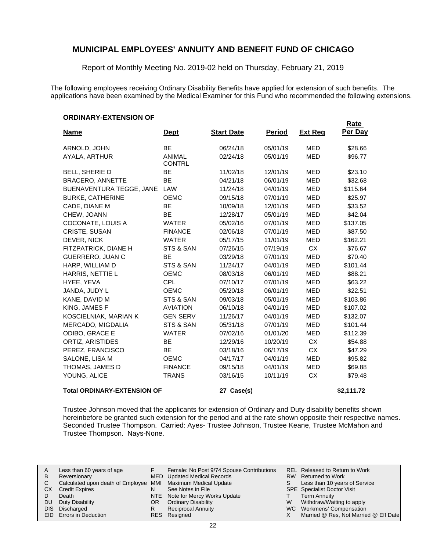Report of Monthly Meeting No. 2019-02 held on Thursday, February 21, 2019

The following employees receiving Ordinary Disability Benefits have applied for extension of such benefits. The applications have been examined by the Medical Examiner for this Fund who recommended the following extensions.

**Rate** 

#### **ORDINARY-EXTENSION OF**

| <u>Name</u>                        | <u>Dept</u>                    | <b>Start Date</b> | <b>Period</b> | <b>Ext Reg</b> | <u>nale</u><br>Per Day |
|------------------------------------|--------------------------------|-------------------|---------------|----------------|------------------------|
| ARNOLD, JOHN                       | <b>BE</b>                      | 06/24/18          | 05/01/19      | <b>MED</b>     | \$28.66                |
| AYALA, ARTHUR                      | <b>ANIMAL</b><br><b>CONTRL</b> | 02/24/18          | 05/01/19      | <b>MED</b>     | \$96.77                |
| <b>BELL, SHERIE D</b>              | <b>BE</b>                      | 11/02/18          | 12/01/19      | MED            | \$23.10                |
| <b>BRACERO, ANNETTE</b>            | BE                             | 04/21/18          | 06/01/19      | <b>MED</b>     | \$32.68                |
| BUENAVENTURA TEGGE, JANE           | LAW                            | 11/24/18          | 04/01/19      | MED            | \$115.64               |
| <b>BURKE, CATHERINE</b>            | <b>OEMC</b>                    | 09/15/18          | 07/01/19      | <b>MED</b>     | \$25.97                |
| CADE, DIANE M                      | <b>BE</b>                      | 10/09/18          | 12/01/19      | <b>MED</b>     | \$33.52                |
| CHEW, JOANN                        | <b>BE</b>                      | 12/28/17          | 05/01/19      | <b>MED</b>     | \$42.04                |
| COCONATE, LOUIS A                  | <b>WATER</b>                   | 05/02/16          | 07/01/19      | <b>MED</b>     | \$137.05               |
| <b>CRISTE, SUSAN</b>               | <b>FINANCE</b>                 | 02/06/18          | 07/01/19      | <b>MED</b>     | \$87.50                |
| DEVER, NICK                        | <b>WATER</b>                   | 05/17/15          | 11/01/19      | MED            | \$162.21               |
| FITZPATRICK, DIANE H               | STS & SAN                      | 07/26/15          | 07/19/19      | <b>CX</b>      | \$76.67                |
| GUERRERO, JUAN C                   | BE                             | 03/29/18          | 07/01/19      | <b>MED</b>     | \$70.40                |
| HARP, WILLIAM D                    | STS & SAN                      | 11/24/17          | 04/01/19      | <b>MED</b>     | \$101.44               |
| HARRIS, NETTIE L                   | <b>OEMC</b>                    | 08/03/18          | 06/01/19      | <b>MED</b>     | \$88.21                |
| HYEE, YEVA                         | <b>CPL</b>                     | 07/10/17          | 07/01/19      | MED            | \$63.22                |
| JANDA, JUDY L                      | <b>OEMC</b>                    | 05/20/18          | 06/01/19      | <b>MED</b>     | \$22.51                |
| KANE, DAVID M                      | STS & SAN                      | 09/03/18          | 05/01/19      | <b>MED</b>     | \$103.86               |
| KING, JAMES F                      | <b>AVIATION</b>                | 06/10/18          | 04/01/19      | <b>MED</b>     | \$107.02               |
| KOSCIELNIAK, MARIAN K              | <b>GEN SERV</b>                | 11/26/17          | 04/01/19      | <b>MED</b>     | \$132.07               |
| MERCADO, MIGDALIA                  | STS & SAN                      | 05/31/18          | 07/01/19      | <b>MED</b>     | \$101.44               |
| ODIBO, GRACE E                     | <b>WATER</b>                   | 07/02/16          | 01/01/20      | MED            | \$112.39               |
| ORTIZ, ARISTIDES                   | <b>BE</b>                      | 12/29/16          | 10/20/19      | <b>CX</b>      | \$54.88                |
| PEREZ, FRANCISCO                   | <b>BE</b>                      | 03/18/16          | 06/17/19      | <b>CX</b>      | \$47.29                |
| SALONE, LISA M                     | <b>OEMC</b>                    | 04/17/17          | 04/01/19      | MED            | \$95.82                |
| THOMAS, JAMES D                    | <b>FINANCE</b>                 | 09/15/18          | 04/01/19      | <b>MED</b>     | \$69.88                |
| YOUNG, ALICE                       | <b>TRANS</b>                   | 03/16/15          | 10/11/19      | <b>CX</b>      | \$79.48                |
| <b>Total ORDINARY-EXTENSION OF</b> |                                | 27 Case(s)        |               |                | \$2,111.72             |

Trustee Johnson moved that the applicants for extension of Ordinary and Duty disability benefits shown hereinbefore be granted such extension for the period and at the rate shown opposite their respective names. Seconded Trustee Thompson. Carried: Ayes- Trustee Johnson, Trustee Keane, Trustee McMahon and Trustee Thompson. Nays-None.

| A   | Less than 60 years of age                                    |     | Female: No Post 9/74 Spouse Contributions |   | REL Released to Return to Work        |
|-----|--------------------------------------------------------------|-----|-------------------------------------------|---|---------------------------------------|
| B   | Reversionary                                                 |     | MED Updated Medical Records               |   | RW Returned to Work                   |
|     | Calculated upon death of Employee MMI Maximum Medical Update |     |                                           | S | Less than 10 years of Service         |
| CХ  | <b>Credit Expires</b>                                        | N   | See Notes in File                         |   | <b>SPE</b> Specialist Doctor Visit    |
|     | Death                                                        |     | NTE Note for Mercy Works Update           |   | <b>Term Annuity</b>                   |
| DU. | Duty Disability                                              | OR. | <b>Ordinary Disability</b>                | W | Withdraw/Waiting to apply             |
|     | DIS Discharged                                               |     | <b>Reciprocal Annuity</b>                 |   | WC Workmens' Compensation             |
|     | EID Errors in Deduction                                      |     | RES Resigned                              |   | Married @ Res, Not Married @ Eff Date |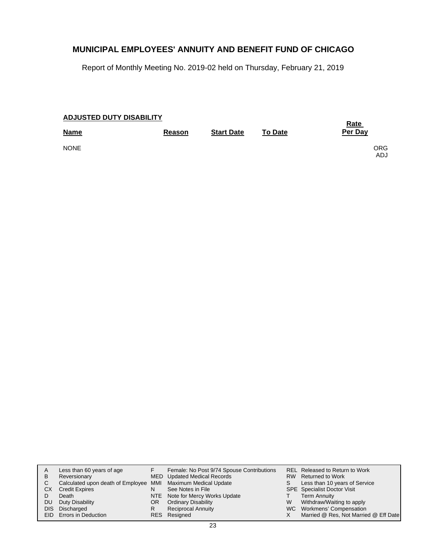Report of Monthly Meeting No. 2019-02 held on Thursday, February 21, 2019

| <b>ADJUSTED DUTY DISABILITY</b> | <b>Rate</b>   |                   |                |                   |
|---------------------------------|---------------|-------------------|----------------|-------------------|
| <b>Name</b>                     | <b>Reason</b> | <b>Start Date</b> | <b>To Date</b> | Per Day           |
| <b>NONE</b>                     |               |                   |                | <b>ORG</b><br>ADJ |

|     | Less than 60 years of age                                    |     | Female: No Post 9/74 Spouse Contributions |   | REL Released to Return to Work        |
|-----|--------------------------------------------------------------|-----|-------------------------------------------|---|---------------------------------------|
| B   | Reversionary                                                 |     | MED Updated Medical Records               |   | RW Returned to Work                   |
|     | Calculated upon death of Employee MMI Maximum Medical Update |     |                                           | S | Less than 10 years of Service         |
| СX  | <b>Credit Expires</b>                                        | N   | See Notes in File                         |   | SPE Specialist Doctor Visit           |
|     | Death                                                        |     | NTE Note for Mercy Works Update           |   | <b>Term Annuity</b>                   |
| DU. | Duty Disability                                              | OR. | <b>Ordinary Disability</b>                | W | Withdraw/Waiting to apply             |
|     | DIS Discharged                                               | R   | <b>Reciprocal Annuity</b>                 |   | WC Workmens' Compensation             |
|     | EID Errors in Deduction                                      |     | RES Resigned                              |   | Married @ Res, Not Married @ Eff Date |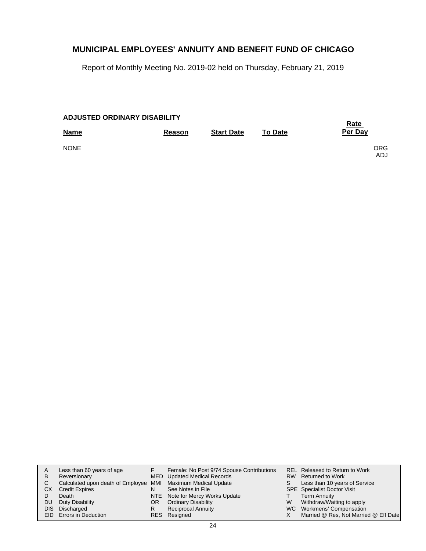Report of Monthly Meeting No. 2019-02 held on Thursday, February 21, 2019

| <b>ADJUSTED ORDINARY DISABILITY</b> |        | <u>Rate</u>       |                |                          |
|-------------------------------------|--------|-------------------|----------------|--------------------------|
| <b>Name</b>                         | Reason | <b>Start Date</b> | <b>To Date</b> | Per Day                  |
| <b>NONE</b>                         |        |                   |                | <b>ORG</b><br><b>ADJ</b> |

| A<br>B<br>СX | Less than 60 years of age<br>Reversionary<br>Calculated upon death of Employee MMI Maximum Medical Update<br><b>Credit Expires</b><br>Death | N        | Female: No Post 9/74 Spouse Contributions<br>MED Updated Medical Records<br>See Notes in File<br>NTE Note for Mercy Works Update | S. | REL Released to Return to Work<br>RW Returned to Work<br>Less than 10 years of Service<br><b>SPE</b> Specialist Doctor Visit<br><b>Term Annuity</b> |
|--------------|---------------------------------------------------------------------------------------------------------------------------------------------|----------|----------------------------------------------------------------------------------------------------------------------------------|----|-----------------------------------------------------------------------------------------------------------------------------------------------------|
| DU.          | Duty Disability<br>DIS Discharged<br><b>EID</b> Errors in Deduction                                                                         | OR.<br>R | <b>Ordinary Disability</b><br><b>Reciprocal Annuity</b><br>RES Resigned                                                          | W  | Withdraw/Waiting to apply<br>WC Workmens' Compensation<br>Married @ Res, Not Married @ Eff Date                                                     |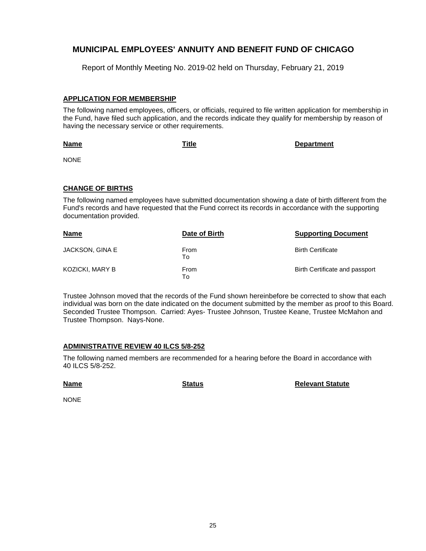Report of Monthly Meeting No. 2019-02 held on Thursday, February 21, 2019

#### **APPLICATION FOR MEMBERSHIP**

The following named employees, officers, or officials, required to file written application for membership in the Fund, have filed such application, and the records indicate they qualify for membership by reason of having the necessary service or other requirements.

**Name**

**Title Department**

NONE

#### **CHANGE OF BIRTHS**

The following named employees have submitted documentation showing a date of birth different from the Fund's records and have requested that the Fund correct its records in accordance with the supporting documentation provided.

| <b>Name</b>            | Date of Birth | <b>Supporting Document</b>     |
|------------------------|---------------|--------------------------------|
| JACKSON, GINA E        | From<br>Т٥    | <b>Birth Certificate</b>       |
| <b>KOZICKI, MARY B</b> | From<br>To    | Birth Certificate and passport |

Trustee Johnson moved that the records of the Fund shown hereinbefore be corrected to show that each individual was born on the date indicated on the document submitted by the member as proof to this Board. Seconded Trustee Thompson. Carried: Ayes- Trustee Johnson, Trustee Keane, Trustee McMahon and Trustee Thompson. Nays-None.

#### **ADMINISTRATIVE REVIEW 40 ILCS 5/8-252**

The following named members are recommended for a hearing before the Board in accordance with 40 ILCS 5/8-252.

**Name**

**Status Relevant Statute**

NONE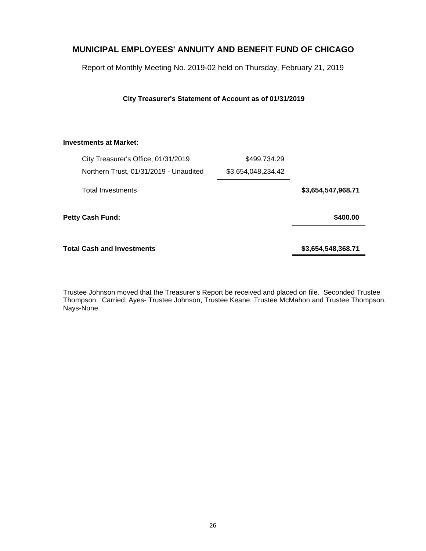Report of Monthly Meeting No. 2019-02 held on Thursday, February 21, 2019

#### **City Treasurer's Statement of Account as of 01/31/2019**

#### **Investments at Market:**

|                         | City Treasurer's Office, 01/31/2019    | \$499,734.29       |                    |
|-------------------------|----------------------------------------|--------------------|--------------------|
|                         | Northern Trust, 01/31/2019 - Unaudited | \$3,654,048,234.42 |                    |
|                         | <b>Total Investments</b>               |                    | \$3,654,547,968.71 |
| <b>Petty Cash Fund:</b> |                                        |                    | \$400.00           |
|                         | Total Cash and Investments             |                    | \$3,654,548,368.71 |

Trustee Johnson moved that the Treasurer's Report be received and placed on file. Seconded Trustee Thompson. Carried: Ayes- Trustee Johnson, Trustee Keane, Trustee McMahon and Trustee Thompson. Nays-None.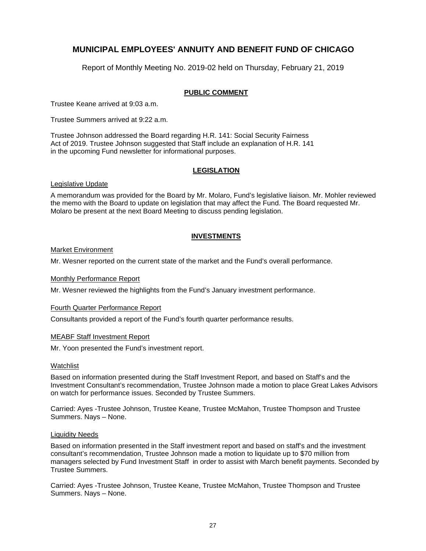Report of Monthly Meeting No. 2019-02 held on Thursday, February 21, 2019

#### **PUBLIC COMMENT**

Trustee Keane arrived at 9:03 a.m.

Trustee Summers arrived at 9:22 a.m.

Trustee Johnson addressed the Board regarding H.R. 141: Social Security Fairness Act of 2019. Trustee Johnson suggested that Staff include an explanation of H.R. 141 in the upcoming Fund newsletter for informational purposes.

#### **LEGISLATION**

#### Legislative Update

A memorandum was provided for the Board by Mr. Molaro, Fund's legislative liaison. Mr. Mohler reviewed the memo with the Board to update on legislation that may affect the Fund. The Board requested Mr. Molaro be present at the next Board Meeting to discuss pending legislation.

#### **INVESTMENTS**

#### Market Environment

Mr. Wesner reported on the current state of the market and the Fund's overall performance.

#### Monthly Performance Report

Mr. Wesner reviewed the highlights from the Fund's January investment performance.

#### Fourth Quarter Performance Report

Consultants provided a report of the Fund's fourth quarter performance results.

#### MEABF Staff Investment Report

Mr. Yoon presented the Fund's investment report.

#### Watchlist

Based on information presented during the Staff Investment Report, and based on Staff's and the Investment Consultant's recommendation, Trustee Johnson made a motion to place Great Lakes Advisors on watch for performance issues. Seconded by Trustee Summers.

Carried: Ayes -Trustee Johnson, Trustee Keane, Trustee McMahon, Trustee Thompson and Trustee Summers. Nays – None.

#### Liquidity Needs

Based on information presented in the Staff investment report and based on staff's and the investment consultant's recommendation, Trustee Johnson made a motion to liquidate up to \$70 million from managers selected by Fund Investment Staff in order to assist with March benefit payments. Seconded by Trustee Summers.

Carried: Ayes -Trustee Johnson, Trustee Keane, Trustee McMahon, Trustee Thompson and Trustee Summers. Nays – None.